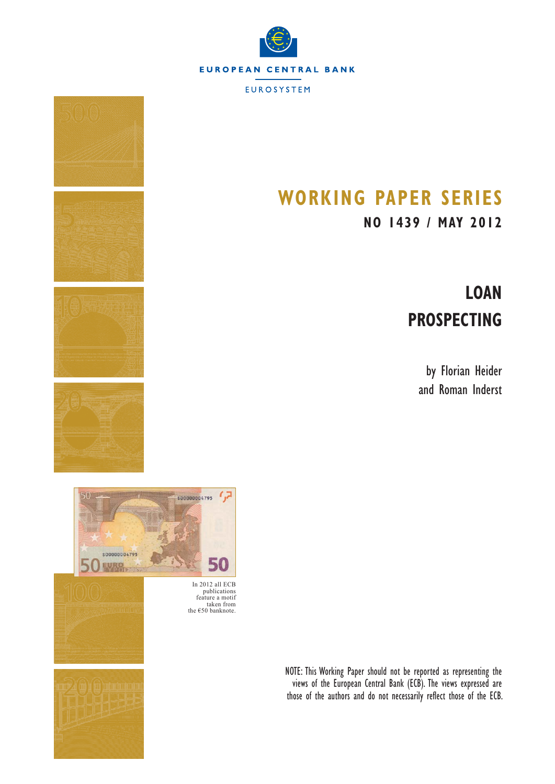

**EUROSYSTEM** 

# **WORKING PAPER SERIES**

# **NO 1439 / MAY 2012**

# **LOAN PROSPECTING**

by Florian Heider and Roman Inderst





In 2012 all ECB publications feature a motif taken from the  $\epsilon$ 50 banknote.

> NOTE: This Working Paper should not be reported as representing the views of the European Central Bank (ECB). The views expressed are those of the authors and do not necessarily reflect those of the ECB.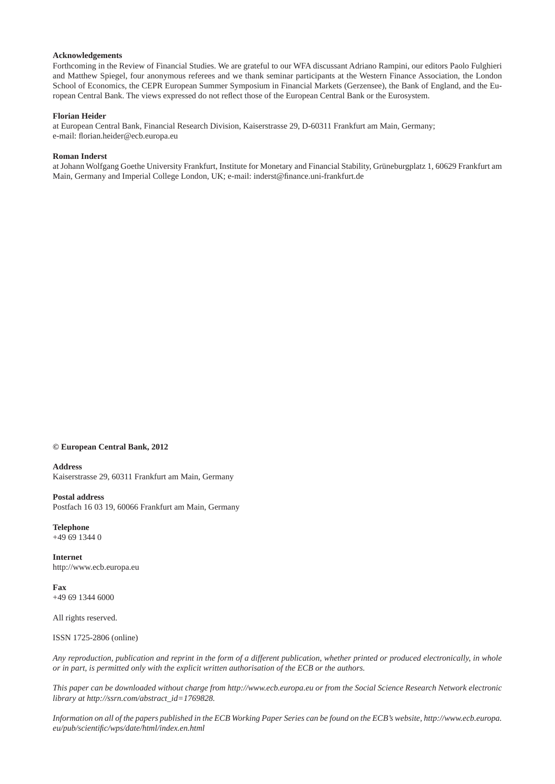#### **Acknowledgements**

Forthcoming in the Review of Financial Studies. We are grateful to our WFA discussant Adriano Rampini, our editors Paolo Fulghieri and Matthew Spiegel, four anonymous referees and we thank seminar participants at the Western Finance Association, the London School of Economics, the CEPR European Summer Symposium in Financial Markets (Gerzensee), the Bank of England, and the European Central Bank. The views expressed do not reflect those of the European Central Bank or the Eurosystem.

#### **Florian Heider**

at European Central Bank, Financial Research Division, Kaiserstrasse 29, D-60311 Frankfurt am Main, Germany; e-mail: florian.heider@ecb.europa.eu

#### **Roman Inderst**

at Johann Wolfgang Goethe University Frankfurt, Institute for Monetary and Financial Stability, Grüneburgplatz 1, 60629 Frankfurt am Main, Germany and Imperial College London, UK; e-mail: inderst@finance.uni-frankfurt.de

#### **© European Central Bank, 2012**

**Address**

Kaiserstrasse 29, 60311 Frankfurt am Main, Germany

#### **Postal address**

Postfach 16 03 19, 60066 Frankfurt am Main, Germany

**Telephone**  $+496913440$ 

**Internet** http://www.ecb.europa.eu

**Fax** +49 69 1344 6000

All rights reserved.

ISSN 1725-2806 (online)

*Any reproduction, publication and reprint in the form of a different publication, whether printed or produced electronically, in whole or in part, is permitted only with the explicit written authorisation of the ECB or the authors.*

*This paper can be downloaded without charge from http://www.ecb.europa.eu or from the Social Science Research Network electronic library at http://ssrn.com/abstract\_id=1769828.*

*Information on all of the papers published in the ECB Working Paper Series can be found on the ECB's website, http://www.ecb.europa. eu/pub/scientifi c/wps/date/html/index.en.html*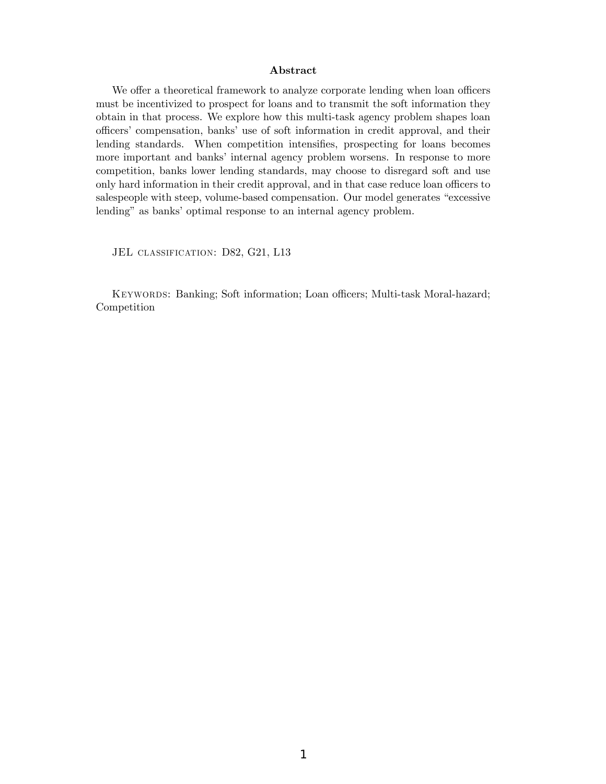#### Abstract

We offer a theoretical framework to analyze corporate lending when loan officers must be incentivized to prospect for loans and to transmit the soft information they obtain in that process. We explore how this multi-task agency problem shapes loan officers' compensation, banks' use of soft information in credit approval, and their lending standards. When competition intensifies, prospecting for loans becomes more important and banks' internal agency problem worsens. In response to more competition, banks lower lending standards, may choose to disregard soft and use only hard information in their credit approval, and in that case reduce loan officers to salespeople with steep, volume-based compensation. Our model generates "excessive lending" as banks' optimal response to an internal agency problem.

JEL CLASSIFICATION: D82, G21, L13

KEYWORDS: Banking; Soft information; Loan officers; Multi-task Moral-hazard; Competition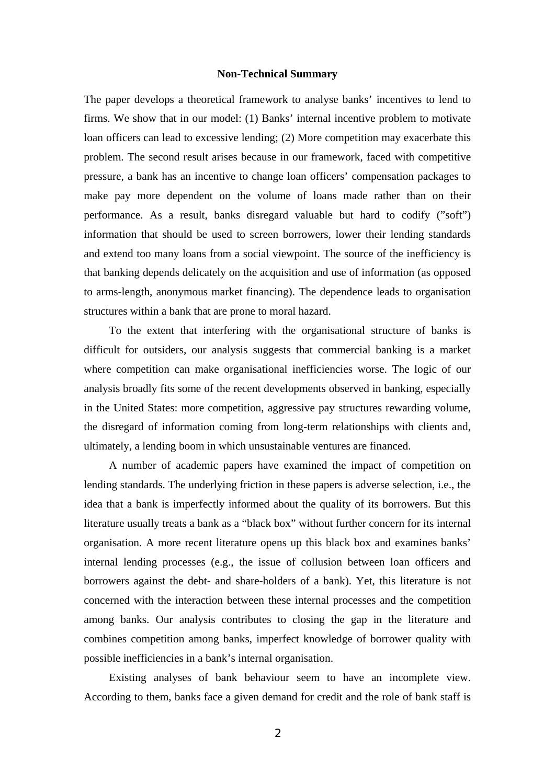#### **Non-Technical Summary**

The paper develops a theoretical framework to analyse banks' incentives to lend to firms. We show that in our model: (1) Banks' internal incentive problem to motivate loan officers can lead to excessive lending; (2) More competition may exacerbate this problem. The second result arises because in our framework, faced with competitive pressure, a bank has an incentive to change loan officers' compensation packages to make pay more dependent on the volume of loans made rather than on their performance. As a result, banks disregard valuable but hard to codify ("soft") information that should be used to screen borrowers, lower their lending standards and extend too many loans from a social viewpoint. The source of the inefficiency is that banking depends delicately on the acquisition and use of information (as opposed to arms-length, anonymous market financing). The dependence leads to organisation structures within a bank that are prone to moral hazard.

To the extent that interfering with the organisational structure of banks is difficult for outsiders, our analysis suggests that commercial banking is a market where competition can make organisational inefficiencies worse. The logic of our analysis broadly fits some of the recent developments observed in banking, especially in the United States: more competition, aggressive pay structures rewarding volume, the disregard of information coming from long-term relationships with clients and, ultimately, a lending boom in which unsustainable ventures are financed.

A number of academic papers have examined the impact of competition on lending standards. The underlying friction in these papers is adverse selection, i.e., the idea that a bank is imperfectly informed about the quality of its borrowers. But this literature usually treats a bank as a "black box" without further concern for its internal organisation. A more recent literature opens up this black box and examines banks' internal lending processes (e.g., the issue of collusion between loan officers and borrowers against the debt- and share-holders of a bank). Yet, this literature is not concerned with the interaction between these internal processes and the competition among banks. Our analysis contributes to closing the gap in the literature and combines competition among banks, imperfect knowledge of borrower quality with possible inefficiencies in a bank's internal organisation.

Existing analyses of bank behaviour seem to have an incomplete view. According to them, banks face a given demand for credit and the role of bank staff is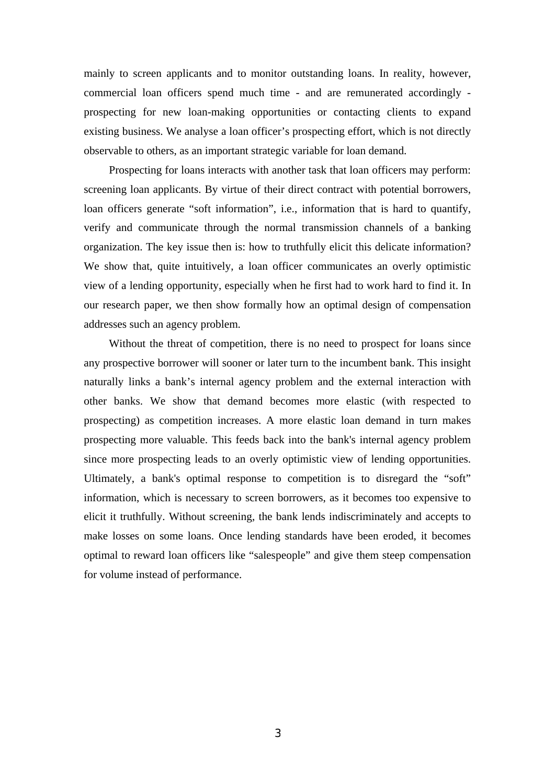mainly to screen applicants and to monitor outstanding loans. In reality, however, commercial loan officers spend much time - and are remunerated accordingly prospecting for new loan-making opportunities or contacting clients to expand existing business. We analyse a loan officer's prospecting effort, which is not directly observable to others, as an important strategic variable for loan demand.

Prospecting for loans interacts with another task that loan officers may perform: screening loan applicants. By virtue of their direct contract with potential borrowers, loan officers generate "soft information", i.e., information that is hard to quantify, verify and communicate through the normal transmission channels of a banking organization. The key issue then is: how to truthfully elicit this delicate information? We show that, quite intuitively, a loan officer communicates an overly optimistic view of a lending opportunity, especially when he first had to work hard to find it. In our research paper, we then show formally how an optimal design of compensation addresses such an agency problem.

Without the threat of competition, there is no need to prospect for loans since any prospective borrower will sooner or later turn to the incumbent bank. This insight naturally links a bank's internal agency problem and the external interaction with other banks. We show that demand becomes more elastic (with respected to prospecting) as competition increases. A more elastic loan demand in turn makes prospecting more valuable. This feeds back into the bank's internal agency problem since more prospecting leads to an overly optimistic view of lending opportunities. Ultimately, a bank's optimal response to competition is to disregard the "soft" information, which is necessary to screen borrowers, as it becomes too expensive to elicit it truthfully. Without screening, the bank lends indiscriminately and accepts to make losses on some loans. Once lending standards have been eroded, it becomes optimal to reward loan officers like "salespeople" and give them steep compensation for volume instead of performance.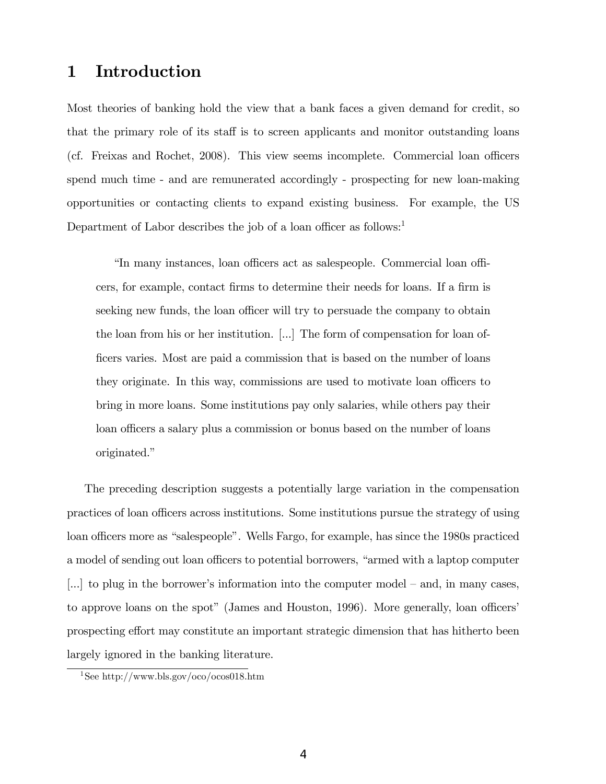# 1 Introduction

Most theories of banking hold the view that a bank faces a given demand for credit, so that the primary role of its staff is to screen applicants and monitor outstanding loans (cf. Freixas and Rochet, 2008). This view seems incomplete. Commercial loan officers spend much time - and are remunerated accordingly - prospecting for new loan-making opportunities or contacting clients to expand existing business. For example, the US Department of Labor describes the job of a loan officer as follows: $<sup>1</sup>$ </sup>

<u>In many instances</u>, loan officers act as salespeople. Commercial loan officers, for example, contact firms to determine their needs for loans. If a firm is seeking new funds, the loan officer will try to persuade the company to obtain the loan from his or her institution. [...] The form of compensation for loan officers varies. Most are paid a commission that is based on the number of loans they originate. In this way, commissions are used to motivate loan officers to bring in more loans. Some institutions pay only salaries, while others pay their loan officers a salary plus a commission or bonus based on the number of loans originated."

The preceding description suggests a potentially large variation in the compensation practices of loan officers across institutions. Some institutions pursue the strategy of using loan officers more as "salespeople". Wells Fargo, for example, has since the 1980s practiced a model of sending out loan officers to potential borrowers, "armed with a laptop computer [...] to plug in the borrower's information into the computer model  $-$  and, in many cases, to approve loans on the spot" (James and Houston, 1996). More generally, loan officers prospecting effort may constitute an important strategic dimension that has hitherto been largely ignored in the banking literature.

<sup>1</sup>See http://www.bls.gov/oco/ocos018.htm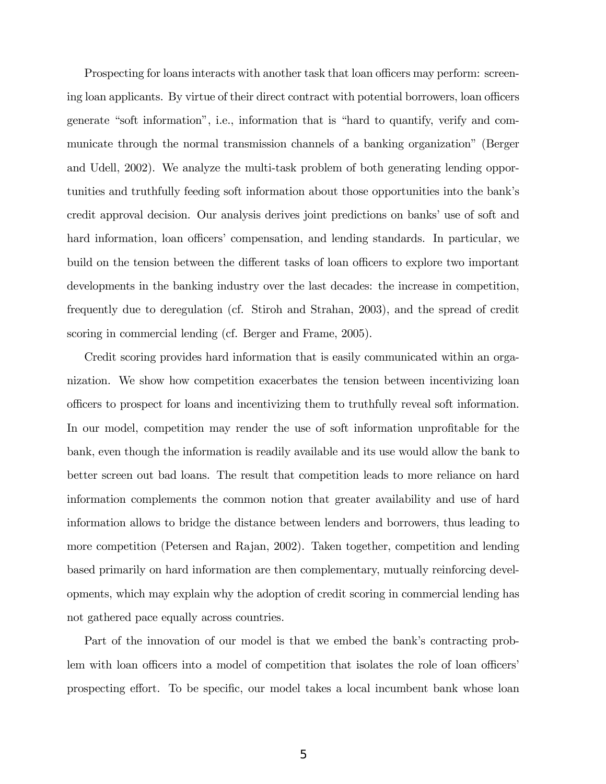Prospecting for loans interacts with another task that loan officers may perform: screening loan applicants. By virtue of their direct contract with potential borrowers, loan officers generate "soft information", i.e., information that is "hard to quantify, verify and communicate through the normal transmission channels of a banking organizationî (Berger and Udell, 2002). We analyze the multi-task problem of both generating lending opportunities and truthfully feeding soft information about those opportunities into the bankís credit approval decision. Our analysis derives joint predictions on banks' use of soft and hard information, loan officers' compensation, and lending standards. In particular, we build on the tension between the different tasks of loan officers to explore two important developments in the banking industry over the last decades: the increase in competition, frequently due to deregulation (cf. Stiroh and Strahan, 2003), and the spread of credit scoring in commercial lending (cf. Berger and Frame, 2005).

Credit scoring provides hard information that is easily communicated within an organization. We show how competition exacerbates the tension between incentivizing loan o¢ cers to prospect for loans and incentivizing them to truthfully reveal soft information. In our model, competition may render the use of soft information unprofitable for the bank, even though the information is readily available and its use would allow the bank to better screen out bad loans. The result that competition leads to more reliance on hard information complements the common notion that greater availability and use of hard information allows to bridge the distance between lenders and borrowers, thus leading to more competition (Petersen and Rajan, 2002). Taken together, competition and lending based primarily on hard information are then complementary, mutually reinforcing developments, which may explain why the adoption of credit scoring in commercial lending has not gathered pace equally across countries.

Part of the innovation of our model is that we embed the bank's contracting problem with loan officers into a model of competition that isolates the role of loan officers' prospecting effort. To be specific, our model takes a local incumbent bank whose loan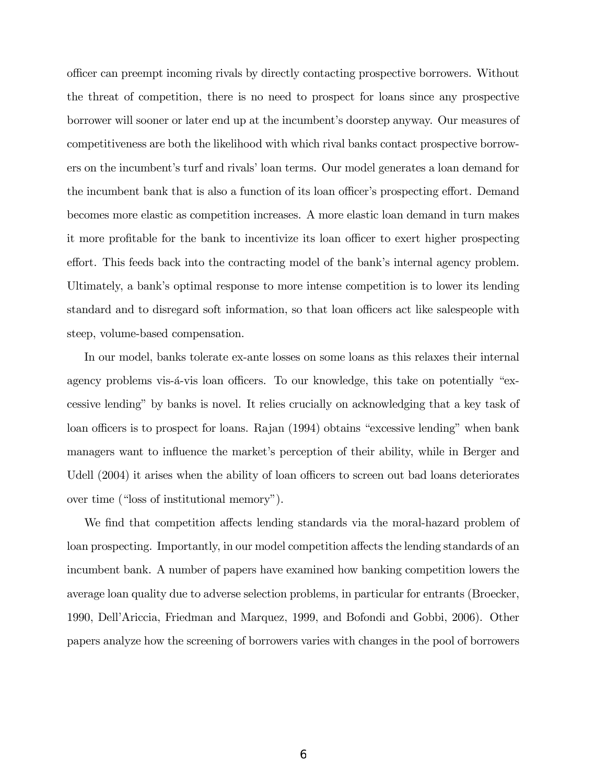o¢ cer can preempt incoming rivals by directly contacting prospective borrowers. Without the threat of competition, there is no need to prospect for loans since any prospective borrower will sooner or later end up at the incumbent's doorstep anyway. Our measures of competitiveness are both the likelihood with which rival banks contact prospective borrowers on the incumbent's turf and rivals' loan terms. Our model generates a loan demand for the incumbent bank that is also a function of its loan officer's prospecting effort. Demand becomes more elastic as competition increases. A more elastic loan demand in turn makes it more profitable for the bank to incentivize its loan officer to exert higher prospecting effort. This feeds back into the contracting model of the bank's internal agency problem. Ultimately, a bankís optimal response to more intense competition is to lower its lending standard and to disregard soft information, so that loan officers act like salespeople with steep, volume-based compensation.

In our model, banks tolerate ex-ante losses on some loans as this relaxes their internal agency problems vis-a-vis loan officers. To our knowledge, this take on potentially "excessive lending" by banks is novel. It relies crucially on acknowledging that a key task of loan officers is to prospect for loans. Rajan (1994) obtains "excessive lending" when bank managers want to influence the market's perception of their ability, while in Berger and Udell (2004) it arises when the ability of loan officers to screen out bad loans deteriorates over time ("loss of institutional memory").

We find that competition affects lending standards via the moral-hazard problem of loan prospecting. Importantly, in our model competition affects the lending standards of an incumbent bank. A number of papers have examined how banking competition lowers the average loan quality due to adverse selection problems, in particular for entrants (Broecker, 1990, DellíAriccia, Friedman and Marquez, 1999, and Bofondi and Gobbi, 2006). Other papers analyze how the screening of borrowers varies with changes in the pool of borrowers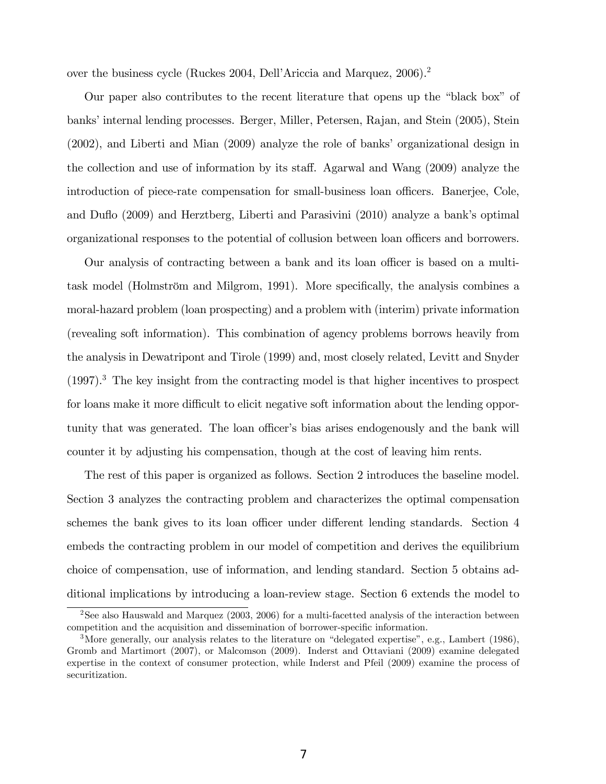over the business cycle (Ruckes 2004, Dell'Ariccia and Marquez, 2006).<sup>2</sup>

Our paper also contributes to the recent literature that opens up the "black box" of banks' internal lending processes. Berger, Miller, Petersen, Rajan, and Stein (2005), Stein (2002), and Liberti and Mian (2009) analyze the role of banks' organizational design in the collection and use of information by its staff. Agarwal and Wang (2009) analyze the introduction of piece-rate compensation for small-business loan officers. Banerjee, Cole, and Duáo (2009) and Herztberg, Liberti and Parasivini (2010) analyze a bankís optimal organizational responses to the potential of collusion between loan officers and borrowers.

Our analysis of contracting between a bank and its loan officer is based on a multitask model (Holmström and Milgrom, 1991). More specifically, the analysis combines a moral-hazard problem (loan prospecting) and a problem with (interim) private information (revealing soft information). This combination of agency problems borrows heavily from the analysis in Dewatripont and Tirole (1999) and, most closely related, Levitt and Snyder  $(1997).<sup>3</sup>$  The key insight from the contracting model is that higher incentives to prospect for loans make it more difficult to elicit negative soft information about the lending opportunity that was generated. The loan officer's bias arises endogenously and the bank will counter it by adjusting his compensation, though at the cost of leaving him rents.

The rest of this paper is organized as follows. Section 2 introduces the baseline model. Section 3 analyzes the contracting problem and characterizes the optimal compensation schemes the bank gives to its loan officer under different lending standards. Section 4 embeds the contracting problem in our model of competition and derives the equilibrium choice of compensation, use of information, and lending standard. Section 5 obtains additional implications by introducing a loan-review stage. Section 6 extends the model to

<sup>&</sup>lt;sup>2</sup>See also Hauswald and Marquez (2003, 2006) for a multi-facetted analysis of the interaction between competition and the acquisition and dissemination of borrower-specific information.

<sup>&</sup>lt;sup>3</sup>More generally, our analysis relates to the literature on "delegated expertise", e.g., Lambert (1986), Gromb and Martimort (2007), or Malcomson (2009). Inderst and Ottaviani (2009) examine delegated expertise in the context of consumer protection, while Inderst and Pfeil (2009) examine the process of securitization.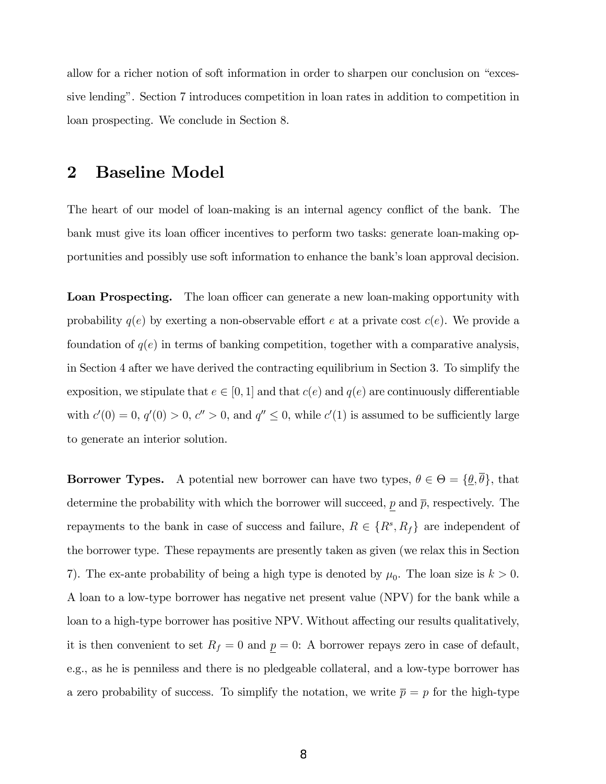allow for a richer notion of soft information in order to sharpen our conclusion on "excessive lendingî. Section 7 introduces competition in loan rates in addition to competition in loan prospecting. We conclude in Section 8.

### 2 Baseline Model

The heart of our model of loan-making is an internal agency conflict of the bank. The bank must give its loan officer incentives to perform two tasks: generate loan-making opportunities and possibly use soft information to enhance the bank's loan approval decision.

**Loan Prospecting.** The loan officer can generate a new loan-making opportunity with probability  $q(e)$  by exerting a non-observable effort e at a private cost  $c(e)$ . We provide a foundation of  $q(e)$  in terms of banking competition, together with a comparative analysis, in Section 4 after we have derived the contracting equilibrium in Section 3. To simplify the exposition, we stipulate that  $e \in [0, 1]$  and that  $c(e)$  and  $q(e)$  are continuously differentiable with  $c'(0) = 0$ ,  $q'(0) > 0$ ,  $c'' > 0$ , and  $q'' \leq 0$ , while  $c'(1)$  is assumed to be sufficiently large to generate an interior solution.

**Borrower Types.** A potential new borrower can have two types,  $\theta \in \Theta = {\theta, \theta}$ , that determine the probability with which the borrower will succeed,  $p$  and  $\bar{p}$ , respectively. The repayments to the bank in case of success and failure,  $R \in \{R^s, R_f\}$  are independent of the borrower type. These repayments are presently taken as given (we relax this in Section 7). The ex-ante probability of being a high type is denoted by  $\mu_0$ . The loan size is  $k > 0$ . A loan to a low-type borrower has negative net present value (NPV) for the bank while a loan to a high-type borrower has positive NPV. Without affecting our results qualitatively, it is then convenient to set  $R_f = 0$  and  $p = 0$ : A borrower repays zero in case of default, e.g., as he is penniless and there is no pledgeable collateral, and a low-type borrower has a zero probability of success. To simplify the notation, we write  $\bar{p} = p$  for the high-type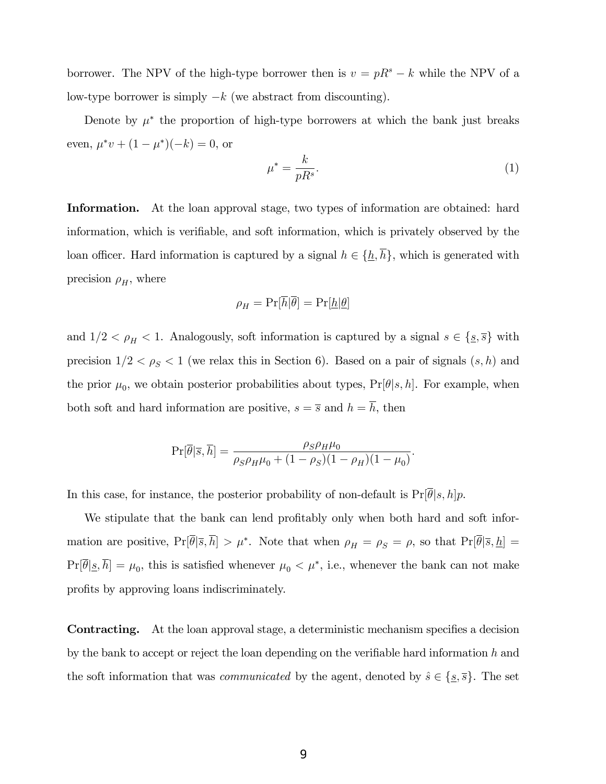borrower. The NPV of the high-type borrower then is  $v = pR<sup>s</sup> - k$  while the NPV of a low-type borrower is simply  $-k$  (we abstract from discounting).

Denote by  $\mu^*$  the proportion of high-type borrowers at which the bank just breaks even,  $\mu^* v + (1 - \mu^*)(-k) = 0$ , or

$$
\mu^* = \frac{k}{pR^s}.\tag{1}
$$

Information. At the loan approval stage, two types of information are obtained: hard information, which is verifiable, and soft information, which is privately observed by the loan officer. Hard information is captured by a signal  $h \in {\{\underline{h}, \overline{h}\}}$ , which is generated with precision  $\rho_H$ , where

$$
\rho_H = \Pr[\overline{h}|\overline{\theta}] = \Pr[\underline{h}|\underline{\theta}]
$$

and  $1/2 < \rho_H < 1$ . Analogously, soft information is captured by a signal  $s \in \{s, \overline{s}\}\$  with precision  $1/2 < \rho_S < 1$  (we relax this in Section 6). Based on a pair of signals  $(s, h)$  and the prior  $\mu_0$ , we obtain posterior probabilities about types,  $Pr[\theta|s, h]$ . For example, when both soft and hard information are positive,  $s = \overline{s}$  and  $h = \overline{h}$ , then

$$
\Pr[\overline{\theta}|\overline{s}, \overline{h}] = \frac{\rho_S \rho_H \mu_0}{\rho_S \rho_H \mu_0 + (1 - \rho_S)(1 - \rho_H)(1 - \mu_0)}.
$$

In this case, for instance, the posterior probability of non-default is  $Pr[\overline{\theta}|s, h]p$ .

We stipulate that the bank can lend profitably only when both hard and soft information are positive,  $Pr[\theta|\overline{s}, h] > \mu^*$ . Note that when  $\rho_H = \rho_S = \rho$ , so that  $Pr[\theta|\overline{s}, h] =$  $Pr[\theta | \underline{s}, h] = \mu_0$ , this is satisfied whenever  $\mu_0 < \mu^*$ , i.e., whenever the bank can not make profits by approving loans indiscriminately.

**Contracting.** At the loan approval stage, a deterministic mechanism specifies a decision by the bank to accept or reject the loan depending on the verifiable hard information  $h$  and the soft information that was *communicated* by the agent, denoted by  $\hat{s} \in \{\underline{s}, \overline{s}\}$ . The set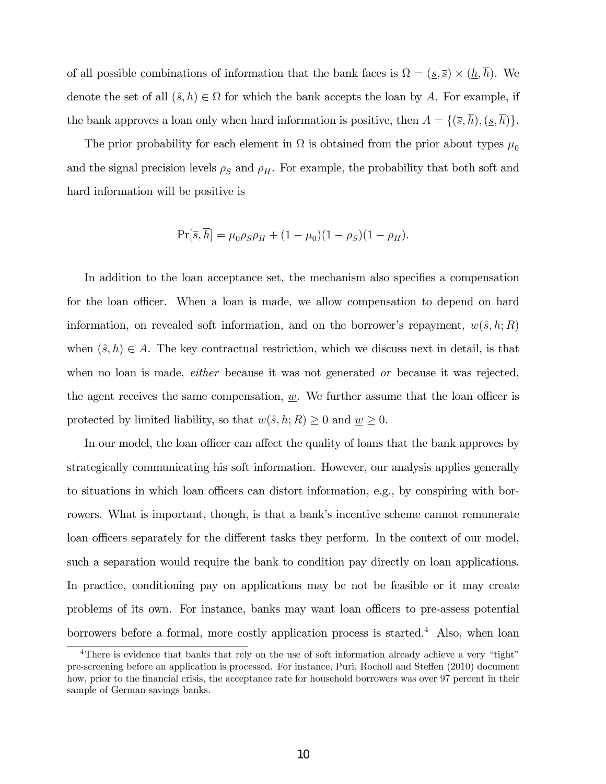of all possible combinations of information that the bank faces is  $\Omega = (\underline{s}, \overline{s}) \times (\underline{h}, h)$ . We denote the set of all  $(\hat{s}, h) \in \Omega$  for which the bank accepts the loan by A. For example, if the bank approves a loan only when hard information is positive, then  $A = \{(\overline{s}, \overline{h}), (\underline{s}, \overline{h})\}.$ 

The prior probability for each element in  $\Omega$  is obtained from the prior about types  $\mu_0$ and the signal precision levels  $\rho_S$  and  $\rho_H$ . For example, the probability that both soft and hard information will be positive is

$$
Pr[\bar{s}, \bar{h}] = \mu_0 \rho_S \rho_H + (1 - \mu_0)(1 - \rho_S)(1 - \rho_H).
$$

In addition to the loan acceptance set, the mechanism also specifies a compensation for the loan officer. When a loan is made, we allow compensation to depend on hard information, on revealed soft information, and on the borrower's repayment,  $w(\hat{s}, h; R)$ when  $(\hat{s}, h) \in A$ . The key contractual restriction, which we discuss next in detail, is that when no loan is made, *either* because it was not generated *or* because it was rejected, the agent receives the same compensation,  $\underline{w}$ . We further assume that the loan officer is protected by limited liability, so that  $w(\hat{s}, h; R) \geq 0$  and  $w \geq 0$ .

In our model, the loan officer can affect the quality of loans that the bank approves by strategically communicating his soft information. However, our analysis applies generally to situations in which loan officers can distort information, e.g., by conspiring with borrowers. What is important, though, is that a bank's incentive scheme cannot remunerate loan officers separately for the different tasks they perform. In the context of our model, such a separation would require the bank to condition pay directly on loan applications. In practice, conditioning pay on applications may be not be feasible or it may create problems of its own. For instance, banks may want loan officers to pre-assess potential borrowers before a formal, more costly application process is started.<sup>4</sup> Also, when loan

<sup>&</sup>lt;sup>4</sup>There is evidence that banks that rely on the use of soft information already achieve a very "tight" pre-screening before an application is processed. For instance, Puri, Rocholl and Steffen (2010) document how, prior to the financial crisis, the acceptance rate for household borrowers was over 97 percent in their sample of German savings banks.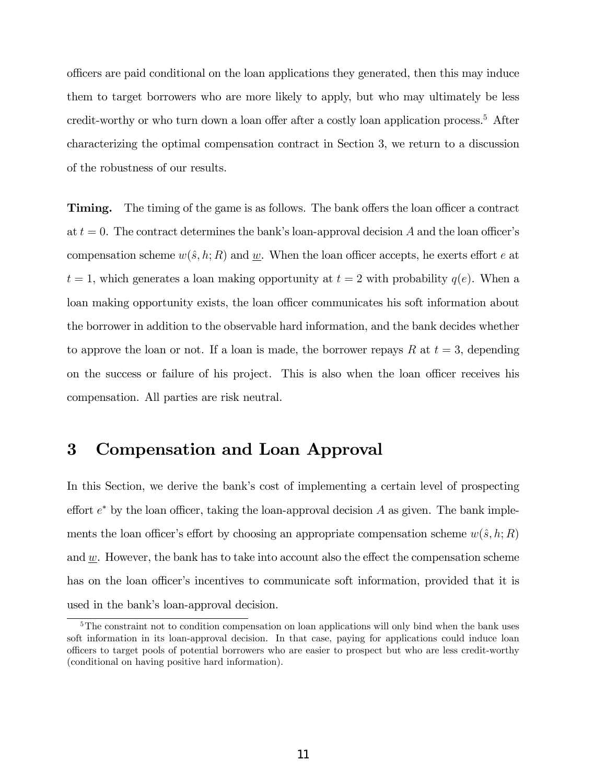o¢ cers are paid conditional on the loan applications they generated, then this may induce them to target borrowers who are more likely to apply, but who may ultimately be less credit-worthy or who turn down a loan offer after a costly loan application process.<sup>5</sup> After characterizing the optimal compensation contract in Section 3, we return to a discussion of the robustness of our results.

**Timing.** The timing of the game is as follows. The bank offers the loan officer a contract at  $t = 0$ . The contract determines the bank's loan-approval decision A and the loan officer's compensation scheme  $w(\hat{s}, h; R)$  and w. When the loan officer accepts, he exerts effort e at  $t = 1$ , which generates a loan making opportunity at  $t = 2$  with probability  $q(e)$ . When a loan making opportunity exists, the loan officer communicates his soft information about the borrower in addition to the observable hard information, and the bank decides whether to approve the loan or not. If a loan is made, the borrower repays R at  $t = 3$ , depending on the success or failure of his project. This is also when the loan officer receives his compensation. All parties are risk neutral.

# 3 Compensation and Loan Approval

In this Section, we derive the bank's cost of implementing a certain level of prospecting effort  $e^*$  by the loan officer, taking the loan-approval decision A as given. The bank implements the loan officer's effort by choosing an appropriate compensation scheme  $w(\hat{s}, h; R)$ and  $w$ . However, the bank has to take into account also the effect the compensation scheme has on the loan officer's incentives to communicate soft information, provided that it is used in the bank's loan-approval decision.

<sup>&</sup>lt;sup>5</sup>The constraint not to condition compensation on loan applications will only bind when the bank uses soft information in its loan-approval decision. In that case, paying for applications could induce loan o¢ cers to target pools of potential borrowers who are easier to prospect but who are less credit-worthy (conditional on having positive hard information).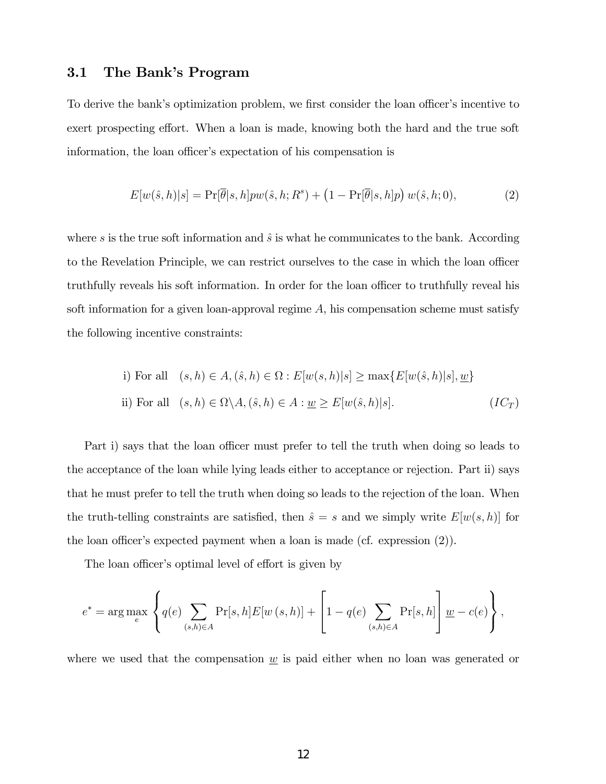### 3.1 The Bank's Program

To derive the bank's optimization problem, we first consider the loan officer's incentive to exert prospecting effort. When a loan is made, knowing both the hard and the true soft information, the loan officer's expectation of his compensation is

$$
E[w(\hat{s},h)|s] = \Pr[\overline{\theta}|s,h]pw(\hat{s},h;R^s) + (1 - \Pr[\overline{\theta}|s,h]p) w(\hat{s},h;0),
$$
\n(2)

where s is the true soft information and  $\hat{s}$  is what he communicates to the bank. According to the Revelation Principle, we can restrict ourselves to the case in which the loan officer truthfully reveals his soft information. In order for the loan officer to truthfully reveal his soft information for a given loan-approval regime  $A$ , his compensation scheme must satisfy the following incentive constraints:

i) For all 
$$
(s, h) \in A
$$
,  $(\hat{s}, h) \in \Omega : E[w(s, h)|s] \ge \max\{E[w(\hat{s}, h)|s], \underline{w}\}$   
ii) For all  $(s, h) \in \Omega \setminus A$ ,  $(\hat{s}, h) \in A : \underline{w} \ge E[w(\hat{s}, h)|s]$ .  $(IC_T)$ 

Part i) says that the loan officer must prefer to tell the truth when doing so leads to the acceptance of the loan while lying leads either to acceptance or rejection. Part ii) says that he must prefer to tell the truth when doing so leads to the rejection of the loan. When the truth-telling constraints are satisfied, then  $\hat{s} = s$  and we simply write  $E[w(s, h)]$  for the loan officer's expected payment when a loan is made (cf. expression  $(2)$ ).

The loan officer's optimal level of effort is given by

$$
e^* = \arg \max_e \left\{ q(e) \sum_{(s,h)\in A} \Pr[s,h] E[w(s,h)] + \left[1-q(e) \sum_{(s,h)\in A} \Pr[s,h] \right] \underline{w} - c(e) \right\},\,
$$

where we used that the compensation  $w$  is paid either when no loan was generated or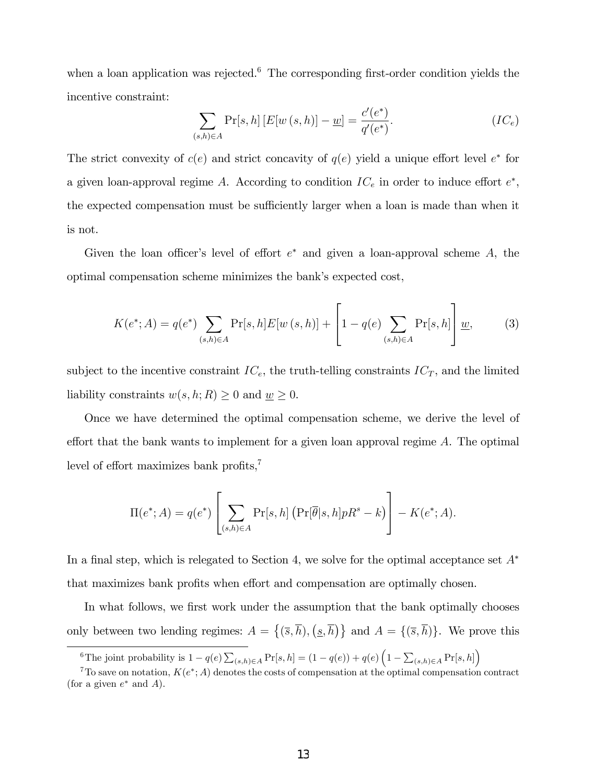when a loan application was rejected.<sup>6</sup> The corresponding first-order condition yields the incentive constraint:

$$
\sum_{(s,h)\in A} \Pr[s,h] \left[ E[w(s,h)] - \underline{w} \right] = \frac{c'(e^*)}{q'(e^*)}.
$$
 (IC<sub>e</sub>)

The strict convexity of  $c(e)$  and strict concavity of  $q(e)$  yield a unique effort level  $e^*$  for a given loan-approval regime A. According to condition  $IC_e$  in order to induce effort  $e^*$ , the expected compensation must be sufficiently larger when a loan is made than when it is not.

Given the loan officer's level of effort  $e^*$  and given a loan-approval scheme A, the optimal compensation scheme minimizes the bank's expected cost,

$$
K(e^*; A) = q(e^*) \sum_{(s,h)\in A} \Pr[s, h] E[w(s,h)] + \left[1 - q(e) \sum_{(s,h)\in A} \Pr[s, h]\right] \underline{w},
$$
 (3)

subject to the incentive constraint  $IC_e$ , the truth-telling constraints  $IC_T$ , and the limited liability constraints  $w(s, h; R) \geq 0$  and  $w \geq 0$ .

Once we have determined the optimal compensation scheme, we derive the level of effort that the bank wants to implement for a given loan approval regime  $A$ . The optimal level of effort maximizes bank profits, $\bar{y}$ 

$$
\Pi(e^*;A) = q(e^*) \left[ \sum_{(s,h)\in A} \Pr[s,h] \left( \Pr[\overline{\theta}|s,h] p R^s - k \right) \right] - K(e^*;A).
$$

In a final step, which is relegated to Section 4, we solve for the optimal acceptance set  $A^*$ that maximizes bank profits when effort and compensation are optimally chosen.

In what follows, we first work under the assumption that the bank optimally chooses only between two lending regimes:  $A = \{(\overline{s}, \overline{h}), (\underline{s}, \overline{h})\}$  and  $A = \{(\overline{s}, \overline{h})\}$ . We prove this

<sup>&</sup>lt;sup>6</sup>The joint probability is  $1 - q(e) \sum_{(s,h) \in A} Pr[s,h] = (1 - q(e)) + q(e) \left(1 - \sum_{(s,h) \in A} Pr[s,h]\right)$ 

<sup>&</sup>lt;sup>7</sup>To save on notation,  $K(e^*; A)$  denotes the costs of compensation at the optimal compensation contract (for a given  $e^*$  and  $A$ ).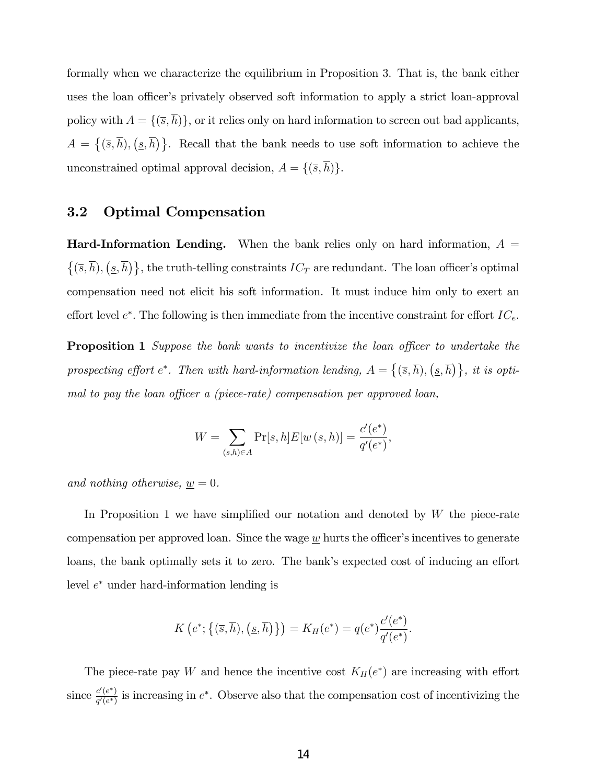formally when we characterize the equilibrium in Proposition 3. That is, the bank either uses the loan officer's privately observed soft information to apply a strict loan-approval policy with  $A = \{(\overline{s}, \overline{h})\}\,$  or it relies only on hard information to screen out bad applicants,  $A = \{(\overline{s}, \overline{h}), (\underline{s}, \overline{h})\}.$  Recall that the bank needs to use soft information to achieve the unconstrained optimal approval decision,  $A = \{(\overline{s}, \overline{h})\}.$ 

### 3.2 Optimal Compensation

**Hard-Information Lending.** When the bank relies only on hard information,  $A =$  $\{(\overline{s}, \overline{h}), (\underline{s}, \overline{h})\}$ , the truth-telling constraints  $IC_T$  are redundant. The loan officer's optimal compensation need not elicit his soft information. It must induce him only to exert an effort level  $e^*$ . The following is then immediate from the incentive constraint for effort  $IC_e$ .

**Proposition 1** Suppose the bank wants to incentivize the loan officer to undertake the prospecting effort e<sup>\*</sup>. Then with hard-information lending,  $A = \{(\overline{s}, \overline{h}), (\underline{s}, \overline{h})\}$ , it is optimal to pay the loan officer a (piece-rate) compensation per approved loan,

$$
W = \sum_{(s,h)\in A} \Pr[s, h] E[w(s, h)] = \frac{c'(e^*)}{q'(e^*)},
$$

and nothing otherwise,  $\underline{w} = 0$ .

In Proposition 1 we have simplified our notation and denoted by  $W$  the piece-rate compensation per approved loan. Since the wage  $\underline{w}$  hurts the officer's incentives to generate loans, the bank optimally sets it to zero. The bank's expected cost of inducing an effort level  $e^*$  under hard-information lending is

$$
K\left(e^*\,;\{\left(\overline{s},\overline{h}\right),\left(\underline{s},\overline{h}\right)\right\}\right)=K_H(e^*)=q(e^*)\frac{c'(e^*)}{q'(e^*)}.
$$

The piece-rate pay W and hence the incentive cost  $K_H(e^*)$  are increasing with effort since  $\frac{c'(e^*)}{a'(e^*)}$  $\frac{c(e)}{q'(e^*)}$  is increasing in  $e^*$ . Observe also that the compensation cost of incentivizing the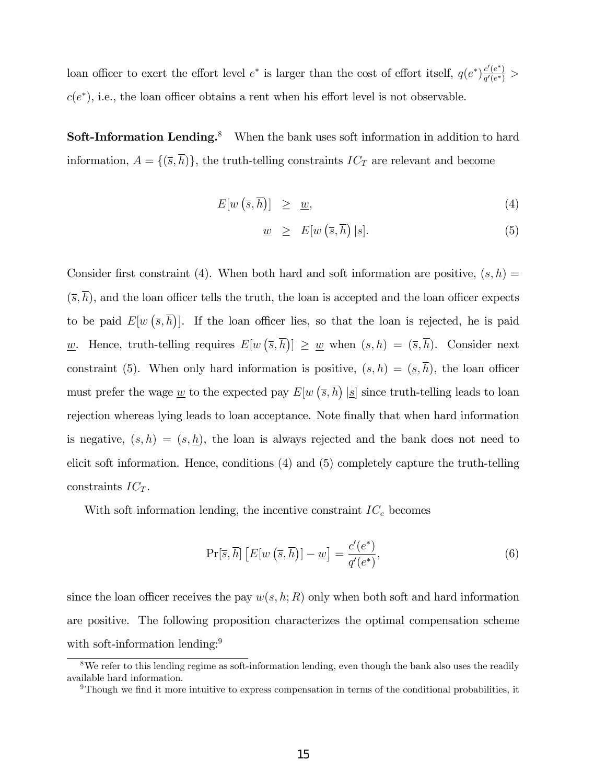loan officer to exert the effort level  $e^*$  is larger than the cost of effort itself,  $q(e^*)\frac{c'(e^*)}{c'(e^*)}$  $\frac{c(e)}{q'(e^*)} >$  $c(e^*)$ , i.e., the loan officer obtains a rent when his effort level is not observable.

Soft-Information Lending.<sup>8</sup> When the bank uses soft information in addition to hard information,  $A = \{(\overline{s}, \overline{h})\}$ , the truth-telling constraints  $IC_T$  are relevant and become

$$
E[w(\overline{s},\overline{h})] \geq \underline{w}, \tag{4}
$$

$$
\underline{w} \geq E[w(\overline{s}, \overline{h}) | \underline{s}]. \tag{5}
$$

Consider first constraint (4). When both hard and soft information are positive,  $(s, h)$  $(\overline{s}, \overline{h})$ , and the loan officer tells the truth, the loan is accepted and the loan officer expects to be paid  $E[w(\bar{s}, \bar{h})]$ . If the loan officer lies, so that the loan is rejected, he is paid <u>w</u>. Hence, truth-telling requires  $E[w(\bar{s}, \bar{h})] \geq \underline{w}$  when  $(s, h) = (\bar{s}, \bar{h})$ . Consider next constraint (5). When only hard information is positive,  $(s, h) = (\underline{s}, \overline{h})$ , the loan officer must prefer the wage  $\underline{w}$  to the expected pay  $E[w(\overline{s}, \overline{h}) | \underline{s}]$  since truth-telling leads to loan rejection whereas lying leads to loan acceptance. Note finally that when hard information is negative,  $(s, h) = (s, h)$ , the loan is always rejected and the bank does not need to elicit soft information. Hence, conditions (4) and (5) completely capture the truth-telling constraints  $IC_T$ .

With soft information lending, the incentive constraint  $IC_e$  becomes

$$
\Pr[\overline{s}, \overline{h}] \left[ E[w(\overline{s}, \overline{h})] - \underline{w} \right] = \frac{c'(e^*)}{q'(e^*)},\tag{6}
$$

since the loan officer receives the pay  $w(s, h; R)$  only when both soft and hard information are positive. The following proposition characterizes the optimal compensation scheme with soft-information lending:<sup>9</sup>

<sup>&</sup>lt;sup>8</sup>We refer to this lending regime as soft-information lending, even though the bank also uses the readily available hard information.

 $9$ Though we find it more intuitive to express compensation in terms of the conditional probabilities, it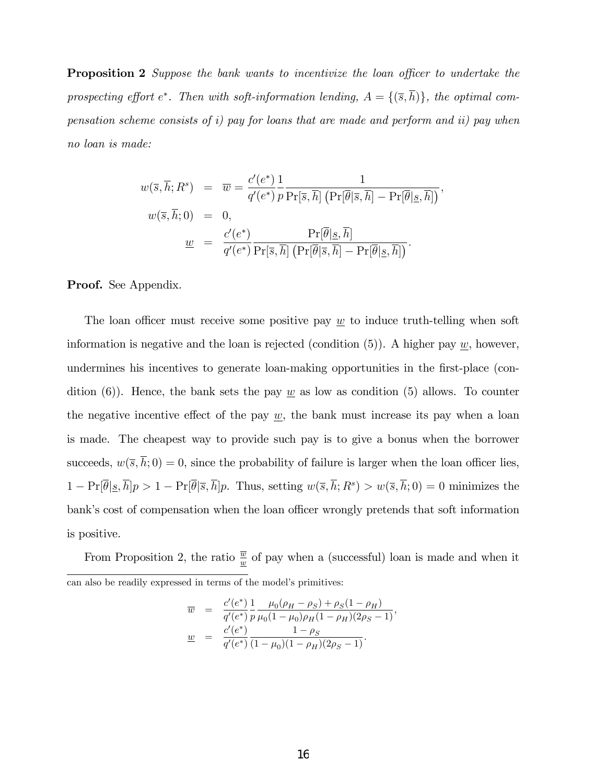**Proposition 2** Suppose the bank wants to incentivize the loan officer to undertake the prospecting effort  $e^*$ . Then with soft-information lending,  $A = \{(\bar{s}, h)\}\$ , the optimal compensation scheme consists of i) pay for loans that are made and perform and ii) pay when no loan is made:

$$
w(\overline{s}, \overline{h}; R^s) = \overline{w} = \frac{c'(e^*)}{q'(e^*)} \frac{1}{p \Pr[\overline{s}, \overline{h}] \left( \Pr[\overline{\theta} | \overline{s}, \overline{h}] - \Pr[\overline{\theta} | \underline{s}, \overline{h}] \right)},
$$
  

$$
w(\overline{s}, \overline{h}; 0) = 0,
$$
  

$$
\underline{w} = \frac{c'(e^*)}{q'(e^*)} \frac{\Pr[\overline{\theta} | \underline{s}, \overline{h}]}{\Pr[\overline{s}, \overline{h}] \left( \Pr[\overline{\theta} | \overline{s}, \overline{h}] - \Pr[\overline{\theta} | \underline{s}, \overline{h}] \right)}.
$$

Proof. See Appendix.

The loan officer must receive some positive pay  $w$  to induce truth-telling when soft information is negative and the loan is rejected (condition  $(5)$ ). A higher pay w, however, undermines his incentives to generate loan-making opportunities in the first-place (condition (6)). Hence, the bank sets the pay  $\underline{w}$  as low as condition (5) allows. To counter the negative incentive effect of the pay  $\underline{w}$ , the bank must increase its pay when a loan is made. The cheapest way to provide such pay is to give a bonus when the borrower succeeds,  $w(\overline{s}, \overline{h}; 0) = 0$ , since the probability of failure is larger when the loan officer lies,  $1 - \Pr[\overline{\theta} | \underline{s}, \overline{h}]p > 1 - \Pr[\overline{\theta} | \overline{s}, \overline{h}]p.$  Thus, setting  $w(\overline{s}, \overline{h}; R^s) > w(\overline{s}, \overline{h}; 0) = 0$  minimizes the bank's cost of compensation when the loan officer wrongly pretends that soft information is positive.

From Proposition 2, the ratio  $\frac{\overline{w}}{w}$  of pay when a (successful) loan is made and when it can also be readily expressed in terms of the model's primitives:

$$
\overline{w} = \frac{c'(e^*)}{q'(e^*)} \frac{1}{p} \frac{\mu_0(\rho_H - \rho_S) + \rho_S(1 - \rho_H)}{\mu_0(1 - \mu_0)\rho_H(1 - \rho_H)(2\rho_S - 1)},
$$
  
\n
$$
\underline{w} = \frac{c'(e^*)}{q'(e^*)} \frac{1 - \rho_S}{(1 - \mu_0)(1 - \rho_H)(2\rho_S - 1)}.
$$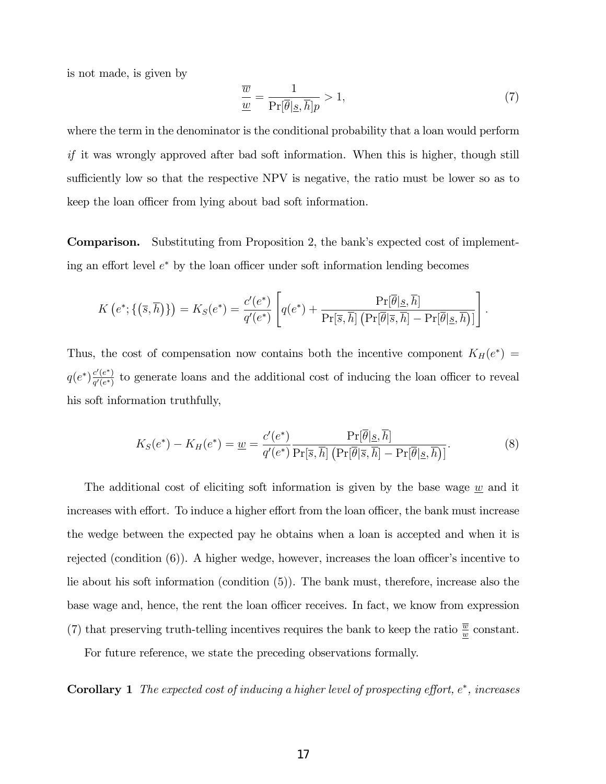is not made, is given by

$$
\frac{\overline{w}}{\underline{w}} = \frac{1}{\Pr[\overline{\theta}|\underline{s}, \overline{h}]} > 1,\tag{7}
$$

where the term in the denominator is the conditional probability that a loan would perform if it was wrongly approved after bad soft information. When this is higher, though still sufficiently low so that the respective NPV is negative, the ratio must be lower so as to keep the loan officer from lying about bad soft information.

**Comparison.** Substituting from Proposition 2, the bank's expected cost of implementing an effort level  $e^*$  by the loan officer under soft information lending becomes

$$
K\left(e^*\,;\{\left(\overline{s},\overline{h}\right)\}\right)=K_S(e^*)=\frac{c'(e^*)}{q'(e^*)}\left[q(e^*)+\frac{\Pr[\overline{\theta}|\underline{s},\overline{h}]}{\Pr[\overline{s},\overline{h}]\left(\Pr[\overline{\theta}|\overline{s},\overline{h}]-\Pr[\overline{\theta}|\underline{s},\overline{h}]\right)}\right].
$$

Thus, the cost of compensation now contains both the incentive component  $K_H(e^*)$  $q(e^*)\frac{c'(e^*)}{a'(e^*)}$  $\frac{\partial^{\alpha}(e^{\alpha})}{\partial q^{\prime}(e^{\alpha})}$  to generate loans and the additional cost of inducing the loan officer to reveal his soft information truthfully,

$$
K_S(e^*) - K_H(e^*) = \underline{w} = \frac{c'(e^*)}{q'(e^*)} \frac{\Pr[\overline{\theta}|\underline{s}, \overline{h}]}{\Pr[\overline{s}, \overline{h}] \left(\Pr[\overline{\theta}|\overline{s}, \overline{h}]\right) - \Pr[\overline{\theta}|\underline{s}, \overline{h}]\}}.
$$
(8)

The additional cost of eliciting soft information is given by the base wage  $w$  and it increases with effort. To induce a higher effort from the loan officer, the bank must increase the wedge between the expected pay he obtains when a loan is accepted and when it is rejected (condition  $(6)$ ). A higher wedge, however, increases the loan officer's incentive to lie about his soft information (condition (5)). The bank must, therefore, increase also the base wage and, hence, the rent the loan officer receives. In fact, we know from expression (7) that preserving truth-telling incentives requires the bank to keep the ratio  $\frac{\overline{w}}{w}$  constant.

For future reference, we state the preceding observations formally.

**Corollary 1** The expected cost of inducing a higher level of prospecting effort,  $e^*$ , increases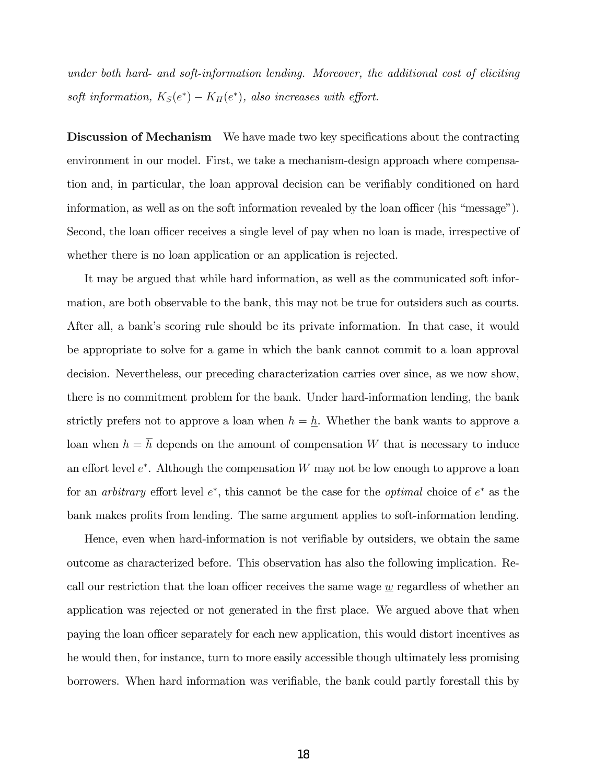under both hard- and soft-information lending. Moreover, the additional cost of eliciting soft information,  $K_S(e^*) - K_H(e^*)$ , also increases with effort.

**Discussion of Mechanism** We have made two key specifications about the contracting environment in our model. First, we take a mechanism-design approach where compensation and, in particular, the loan approval decision can be verifiably conditioned on hard information, as well as on the soft information revealed by the loan officer (his  $\lq$ message $\lq$ ). Second, the loan officer receives a single level of pay when no loan is made, irrespective of whether there is no loan application or an application is rejected.

It may be argued that while hard information, as well as the communicated soft information, are both observable to the bank, this may not be true for outsiders such as courts. After all, a bank's scoring rule should be its private information. In that case, it would be appropriate to solve for a game in which the bank cannot commit to a loan approval decision. Nevertheless, our preceding characterization carries over since, as we now show, there is no commitment problem for the bank. Under hard-information lending, the bank strictly prefers not to approve a loan when  $h = \underline{h}$ . Whether the bank wants to approve a loan when  $h = \overline{h}$  depends on the amount of compensation W that is necessary to induce an effort level  $e^*$ . Although the compensation W may not be low enough to approve a loan for an *arbitrary* effort level  $e^*$ , this cannot be the case for the *optimal* choice of  $e^*$  as the bank makes profits from lending. The same argument applies to soft-information lending.

Hence, even when hard-information is not verifiable by outsiders, we obtain the same outcome as characterized before. This observation has also the following implication. Recall our restriction that the loan officer receives the same wage  $w$  regardless of whether an application was rejected or not generated in the first place. We argued above that when paying the loan officer separately for each new application, this would distort incentives as he would then, for instance, turn to more easily accessible though ultimately less promising borrowers. When hard information was verifiable, the bank could partly forestall this by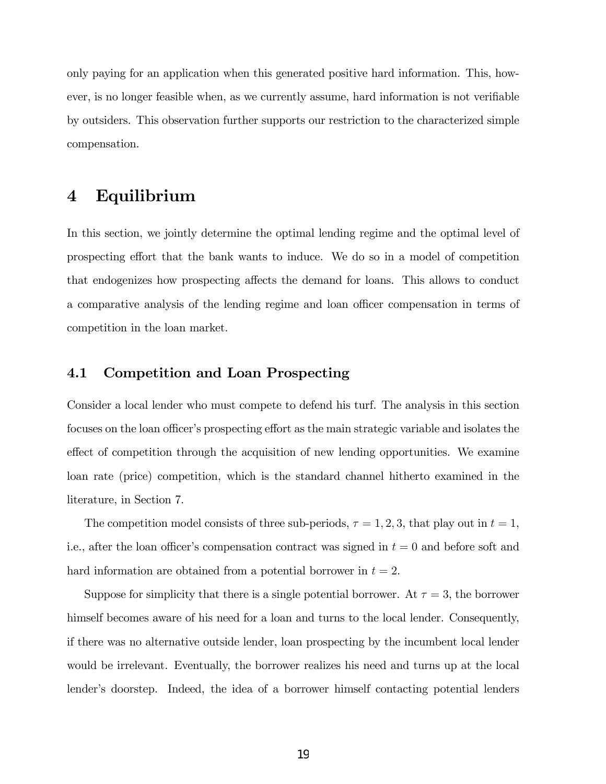only paying for an application when this generated positive hard information. This, however, is no longer feasible when, as we currently assume, hard information is not verifiable by outsiders. This observation further supports our restriction to the characterized simple compensation.

# 4 Equilibrium

In this section, we jointly determine the optimal lending regime and the optimal level of prospecting effort that the bank wants to induce. We do so in a model of competition that endogenizes how prospecting affects the demand for loans. This allows to conduct a comparative analysis of the lending regime and loan officer compensation in terms of competition in the loan market.

### 4.1 Competition and Loan Prospecting

Consider a local lender who must compete to defend his turf. The analysis in this section focuses on the loan officer's prospecting effort as the main strategic variable and isolates the effect of competition through the acquisition of new lending opportunities. We examine loan rate (price) competition, which is the standard channel hitherto examined in the literature, in Section 7.

The competition model consists of three sub-periods,  $\tau = 1, 2, 3$ , that play out in  $t = 1$ , i.e., after the loan officer's compensation contract was signed in  $t = 0$  and before soft and hard information are obtained from a potential borrower in  $t = 2$ .

Suppose for simplicity that there is a single potential borrower. At  $\tau = 3$ , the borrower himself becomes aware of his need for a loan and turns to the local lender. Consequently, if there was no alternative outside lender, loan prospecting by the incumbent local lender would be irrelevant. Eventually, the borrower realizes his need and turns up at the local lender's doorstep. Indeed, the idea of a borrower himself contacting potential lenders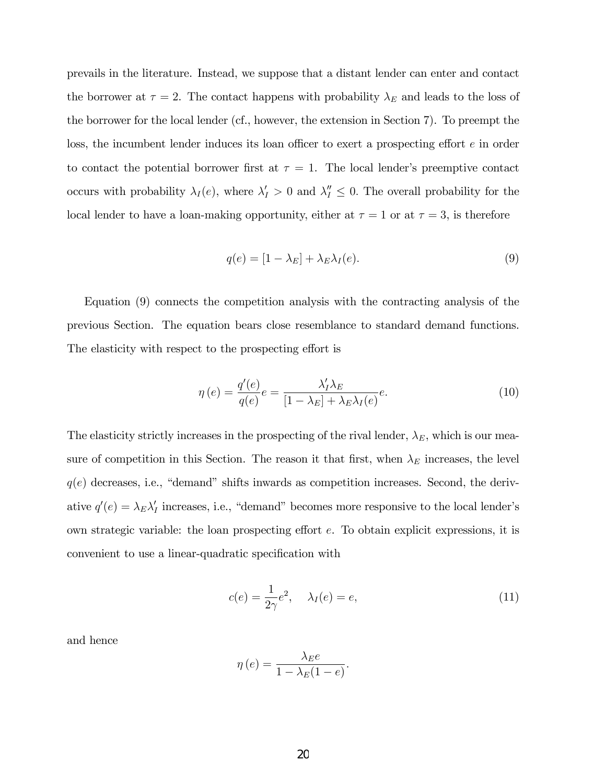prevails in the literature. Instead, we suppose that a distant lender can enter and contact the borrower at  $\tau = 2$ . The contact happens with probability  $\lambda_E$  and leads to the loss of the borrower for the local lender (cf., however, the extension in Section 7). To preempt the loss, the incumbent lender induces its loan officer to exert a prospecting effort  $e$  in order to contact the potential borrower first at  $\tau = 1$ . The local lender's preemptive contact occurs with probability  $\lambda_I(e)$ , where  $\lambda'_I > 0$  and  $\lambda''_I \leq 0$ . The overall probability for the local lender to have a loan-making opportunity, either at  $\tau = 1$  or at  $\tau = 3$ , is therefore

$$
q(e) = [1 - \lambda_E] + \lambda_E \lambda_I(e). \tag{9}
$$

Equation (9) connects the competition analysis with the contracting analysis of the previous Section. The equation bears close resemblance to standard demand functions. The elasticity with respect to the prospecting effort is

$$
\eta(e) = \frac{q'(e)}{q(e)}e = \frac{\lambda_I'\lambda_E}{[1 - \lambda_E] + \lambda_E\lambda_I(e)}e.
$$
\n(10)

The elasticity strictly increases in the prospecting of the rival lender,  $\lambda_E$ , which is our measure of competition in this Section. The reason it that first, when  $\lambda_E$  increases, the level  $q(e)$  decreases, i.e., "demand" shifts inwards as competition increases. Second, the derivative  $q'(e) = \lambda_E \lambda'_I$  increases, i.e., "demand" becomes more responsive to the local lender's own strategic variable: the loan prospecting effort  $e$ . To obtain explicit expressions, it is convenient to use a linear-quadratic specification with

$$
c(e) = \frac{1}{2\gamma}e^2, \quad \lambda_I(e) = e,\tag{11}
$$

and hence

$$
\eta(e) = \frac{\lambda_E e}{1 - \lambda_E(1 - e)}.
$$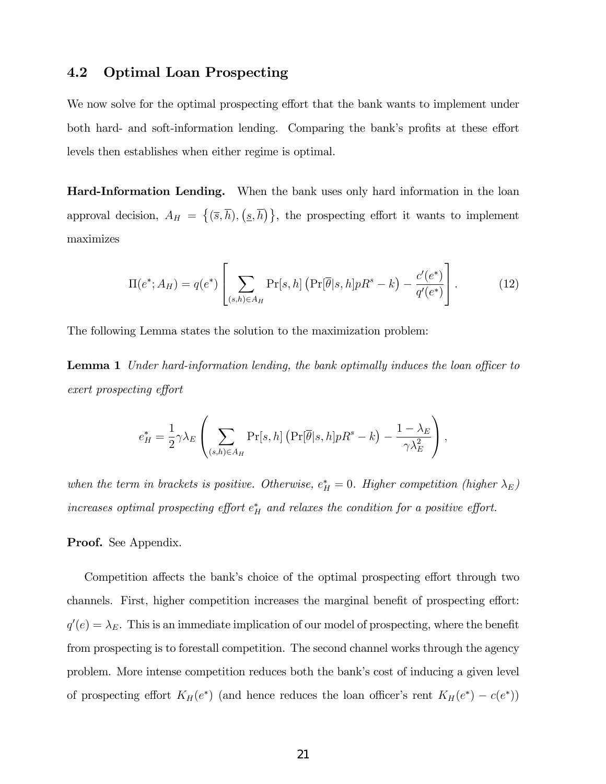### 4.2 Optimal Loan Prospecting

We now solve for the optimal prospecting effort that the bank wants to implement under both hard- and soft-information lending. Comparing the bank's profits at these effort levels then establishes when either regime is optimal.

Hard-Information Lending. When the bank uses only hard information in the loan approval decision,  $A_H = \{(\overline{s}, \overline{h}), (\underline{s}, \overline{h})\}$ , the prospecting effort it wants to implement maximizes

$$
\Pi(e^*; A_H) = q(e^*) \left[ \sum_{(s,h)\in A_H} \Pr[s, h] \left( \Pr[\overline{\theta}|s, h] p R^s - k \right) - \frac{c'(e^*)}{q'(e^*)} \right]. \tag{12}
$$

The following Lemma states the solution to the maximization problem:

**Lemma 1** Under hard-information lending, the bank optimally induces the loan officer to exert prospecting effort

$$
e_H^* = \frac{1}{2} \gamma \lambda_E \left( \sum_{(s,h)\in A_H} \Pr[s,h] \left( \Pr[\overline{\theta}|s,h] p R^s - k \right) - \frac{1-\lambda_E}{\gamma \lambda_E^2} \right),
$$

when the term in brackets is positive. Otherwise,  $e_H^* = 0$ . Higher competition (higher  $\lambda_E$ ) increases optimal prospecting effort  $e_H^*$  and relaxes the condition for a positive effort.

#### Proof. See Appendix.

Competition affects the bank's choice of the optimal prospecting effort through two channels. First, higher competition increases the marginal benefit of prospecting effort:  $q'(e) = \lambda_E$ . This is an immediate implication of our model of prospecting, where the benefit from prospecting is to forestall competition. The second channel works through the agency problem. More intense competition reduces both the bankís cost of inducing a given level of prospecting effort  $K_H(e^*)$  (and hence reduces the loan officer's rent  $K_H(e^*) - c(e^*)$ )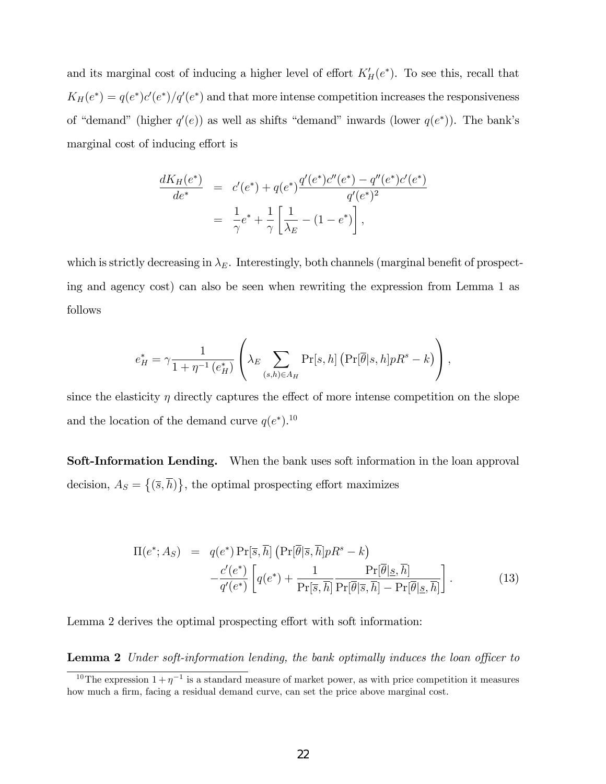and its marginal cost of inducing a higher level of effort  $K_H'(e^*)$ . To see this, recall that  $K_H(e^*) = q(e^*)c'(e^*)/q'(e^*)$  and that more intense competition increases the responsiveness of "demand" (higher  $q'(e)$ ) as well as shifts "demand" inwards (lower  $q(e^*)$ ). The bank's marginal cost of inducing effort is

$$
\frac{dK_H(e^*)}{de^*} = c'(e^*) + q(e^*)\frac{q'(e^*)c''(e^*) - q''(e^*)c'(e^*)}{q'(e^*)^2}
$$

$$
= \frac{1}{\gamma}e^* + \frac{1}{\gamma}\left[\frac{1}{\lambda_E} - (1 - e^*)\right],
$$

which is strictly decreasing in  $\lambda_E$ . Interestingly, both channels (marginal benefit of prospecting and agency cost) can also be seen when rewriting the expression from Lemma 1 as follows

$$
e_H^* = \gamma \frac{1}{1 + \eta^{-1} (e_H^*)} \left( \lambda_E \sum_{(s,h) \in A_H} \Pr[s,h] \left( \Pr[\overline{\theta} | s,h] p R^s - k \right) \right),
$$

since the elasticity  $\eta$  directly captures the effect of more intense competition on the slope and the location of the demand curve  $q(e^*)$ .<sup>10</sup>

Soft-Information Lending. When the bank uses soft information in the loan approval decision,  $A_S = \{(\overline{s}, \overline{h})\}\$ , the optimal prospecting effort maximizes

$$
\Pi(e^*; A_S) = q(e^*) \Pr[\overline{s}, \overline{h}] \left( \Pr[\overline{\theta} | \overline{s}, \overline{h}] p R^s - k \right) \n- \frac{c'(e^*)}{q'(e^*)} \left[ q(e^*) + \frac{1}{\Pr[\overline{s}, \overline{h}]} \frac{\Pr[\overline{\theta} | \underline{s}, \overline{h}]}{\Pr[\overline{\theta} | \overline{s}, \overline{h}]} - \Pr[\overline{\theta} | \underline{s}, \overline{h}]\right].
$$
\n(13)

Lemma 2 derives the optimal prospecting effort with soft information:

**Lemma 2** Under soft-information lending, the bank optimally induces the loan officer to

<sup>&</sup>lt;sup>10</sup>The expression  $1+\eta^{-1}$  is a standard measure of market power, as with price competition it measures how much a firm, facing a residual demand curve, can set the price above marginal cost.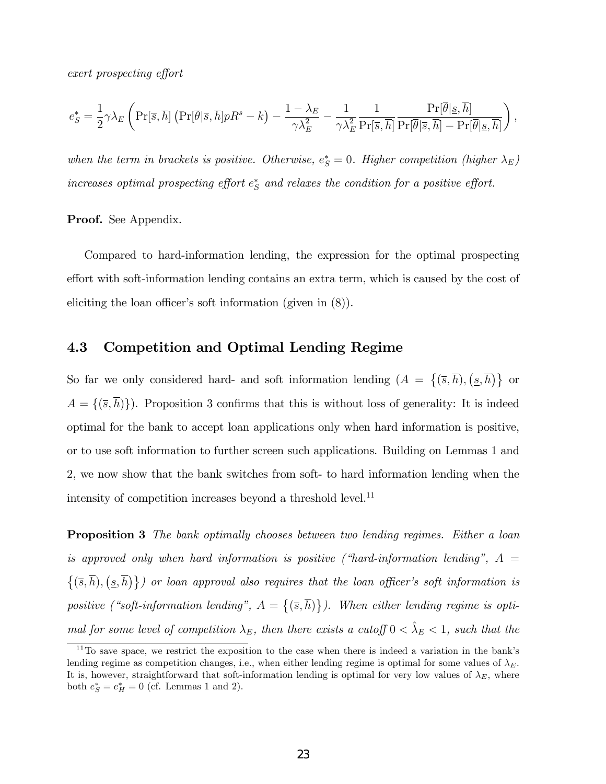exert prospecting effort

$$
e^*_S = \frac{1}{2} \gamma \lambda_E \left( \Pr[\overline{s},\overline{h}] \left( \Pr[\overline{\theta} | \overline{s},\overline{h}] p R^s - k \right) - \frac{1-\lambda_E}{\gamma \lambda_E^2} - \frac{1}{\gamma \lambda_E^2} \frac{1}{\Pr[\overline{s},\overline{h}]} \frac{\Pr[\overline{\theta} | \underline{s},\overline{h}]}{\Pr[\overline{\theta} | \overline{s},\overline{h} ] - \Pr[\overline{\theta} | \underline{s},\overline{h}]} \right),
$$

when the term in brackets is positive. Otherwise,  $e^*_S = 0$ . Higher competition (higher  $\lambda_E$ ) increases optimal prospecting effort  $e^*_{S}$  and relaxes the condition for a positive effort.

Proof. See Appendix.

Compared to hard-information lending, the expression for the optimal prospecting effort with soft-information lending contains an extra term, which is caused by the cost of eliciting the loan officer's soft information (given in  $(8)$ ).

### 4.3 Competition and Optimal Lending Regime

So far we only considered hard- and soft information lending  $(A = \{(\overline{s}, \overline{h}), (s, \overline{h})\}$  or  $A = \{(\overline{s}, \overline{h})\}\)$ . Proposition 3 confirms that this is without loss of generality: It is indeed optimal for the bank to accept loan applications only when hard information is positive, or to use soft information to further screen such applications. Building on Lemmas 1 and 2, we now show that the bank switches from soft- to hard information lending when the intensity of competition increases beyond a threshold level.<sup>11</sup>

Proposition 3 The bank optimally chooses between two lending regimes. Either a loan is approved only when hard information is positive ("hard-information lending",  $A =$  $\{(\overline{s}, \overline{h}), (\underline{s}, \overline{h})\}\}\$  or loan approval also requires that the loan officer's soft information is positive ("soft-information lending",  $A = \{(\overline{s}, \overline{h})\}\)$ . When either lending regime is optimal for some level of competition  $\lambda_E$ , then there exists a cutoff  $0 < \hat{\lambda}_E < 1$ , such that the

 $11$ <sup>11</sup>To save space, we restrict the exposition to the case when there is indeed a variation in the bank's lending regime as competition changes, i.e., when either lending regime is optimal for some values of  $\lambda_E$ . It is, however, straightforward that soft-information lending is optimal for very low values of  $\lambda_E$ , where both  $e^*_S = e^*_H = 0$  (cf. Lemmas 1 and 2).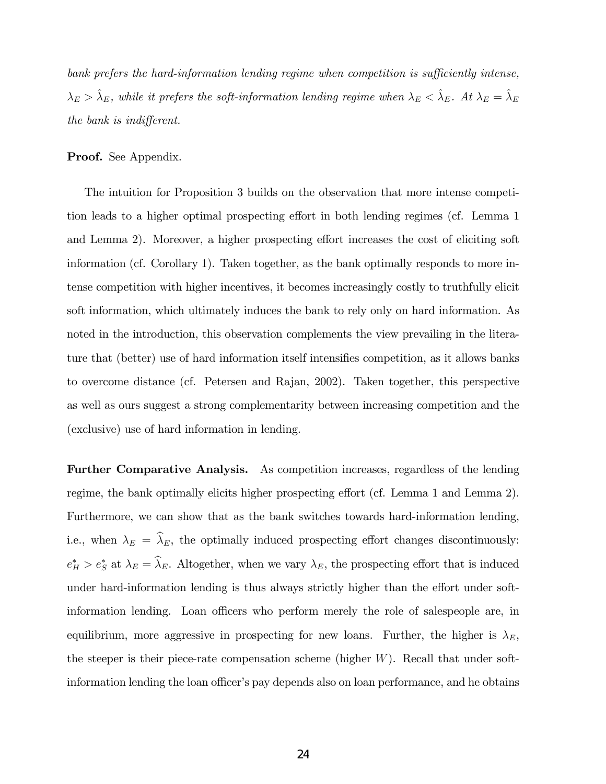bank prefers the hard-information lending regime when competition is sufficiently intense,  $\lambda_E > \hat{\lambda}_E$ , while it prefers the soft-information lending regime when  $\lambda_E < \hat{\lambda}_E$ . At  $\lambda_E = \hat{\lambda}_E$ the bank is indifferent.

Proof. See Appendix.

The intuition for Proposition 3 builds on the observation that more intense competition leads to a higher optimal prospecting effort in both lending regimes (cf. Lemma 1) and Lemma 2). Moreover, a higher prospecting effort increases the cost of eliciting soft information (cf. Corollary 1). Taken together, as the bank optimally responds to more intense competition with higher incentives, it becomes increasingly costly to truthfully elicit soft information, which ultimately induces the bank to rely only on hard information. As noted in the introduction, this observation complements the view prevailing in the literature that (better) use of hard information itself intensifies competition, as it allows banks to overcome distance (cf. Petersen and Rajan, 2002). Taken together, this perspective as well as ours suggest a strong complementarity between increasing competition and the (exclusive) use of hard information in lending.

Further Comparative Analysis. As competition increases, regardless of the lending regime, the bank optimally elicits higher prospecting effort (cf. Lemma 1 and Lemma 2). Furthermore, we can show that as the bank switches towards hard-information lending, i.e., when  $\lambda_E = \hat{\lambda}_E$ , the optimally induced prospecting effort changes discontinuously:  $e_H^* > e_S^*$  at  $\lambda_E = \lambda_E$ . Altogether, when we vary  $\lambda_E$ , the prospecting effort that is induced under hard-information lending is thus always strictly higher than the effort under softinformation lending. Loan officers who perform merely the role of salespeople are, in equilibrium, more aggressive in prospecting for new loans. Further, the higher is  $\lambda_E$ , the steeper is their piece-rate compensation scheme (higher  $W$ ). Recall that under softinformation lending the loan officer's pay depends also on loan performance, and he obtains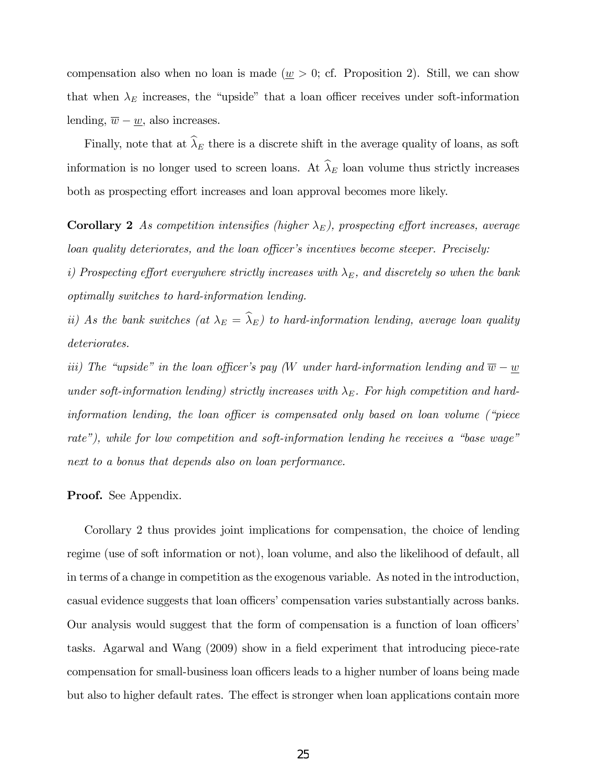compensation also when no loan is made ( $\underline{w} > 0$ ; cf. Proposition 2). Still, we can show that when  $\lambda_E$  increases, the "upside" that a loan officer receives under soft-information lending,  $\overline{w} - \underline{w}$ , also increases.

Finally, note that at  $\widehat{\lambda}_E$  there is a discrete shift in the average quality of loans, as soft information is no longer used to screen loans. At  $\widehat{\lambda}_E$  loan volume thus strictly increases both as prospecting effort increases and loan approval becomes more likely.

**Corollary 2** As competition intensifies (higher  $\lambda_E$ ), prospecting effort increases, average loan quality deteriorates, and the loan officer's incentives become steeper. Precisely:

i) Prospecting effort everywhere strictly increases with  $\lambda_E$ , and discretely so when the bank optimally switches to hard-information lending.

ii) As the bank switches (at  $\lambda_E = \widehat{\lambda}_E$ ) to hard-information lending, average loan quality deteriorates.

iii) The "upside" in the loan officer's pay (W under hard-information lending and  $\overline{w} - \underline{w}$ under soft-information lending) strictly increases with  $\lambda_E$ . For high competition and hardinformation lending, the loan officer is compensated only based on loan volume ( $\degree$  piece rate"), while for low competition and soft-information lending he receives a "base wage" next to a bonus that depends also on loan performance.

#### Proof. See Appendix.

Corollary 2 thus provides joint implications for compensation, the choice of lending regime (use of soft information or not), loan volume, and also the likelihood of default, all in terms of a change in competition as the exogenous variable. As noted in the introduction, casual evidence suggests that loan officers' compensation varies substantially across banks. Our analysis would suggest that the form of compensation is a function of loan officers' tasks. Agarwal and Wang (2009) show in a field experiment that introducing piece-rate compensation for small-business loan officers leads to a higher number of loans being made but also to higher default rates. The effect is stronger when loan applications contain more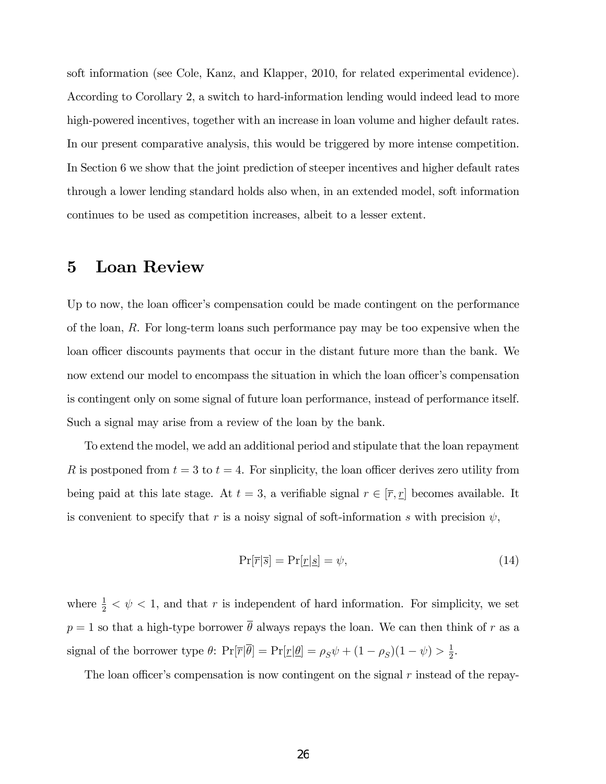soft information (see Cole, Kanz, and Klapper, 2010, for related experimental evidence). According to Corollary 2, a switch to hard-information lending would indeed lead to more high-powered incentives, together with an increase in loan volume and higher default rates. In our present comparative analysis, this would be triggered by more intense competition. In Section 6 we show that the joint prediction of steeper incentives and higher default rates through a lower lending standard holds also when, in an extended model, soft information continues to be used as competition increases, albeit to a lesser extent.

### 5 Loan Review

Up to now, the loan officer's compensation could be made contingent on the performance of the loan, R. For long-term loans such performance pay may be too expensive when the loan officer discounts payments that occur in the distant future more than the bank. We now extend our model to encompass the situation in which the loan officer's compensation is contingent only on some signal of future loan performance, instead of performance itself. Such a signal may arise from a review of the loan by the bank.

To extend the model, we add an additional period and stipulate that the loan repayment R is postponed from  $t = 3$  to  $t = 4$ . For sinplicity, the loan officer derives zero utility from being paid at this late stage. At  $t = 3$ , a verifiable signal  $r \in [\overline{r}, \underline{r}]$  becomes available. It is convenient to specify that r is a noisy signal of soft-information s with precision  $\psi$ ,

$$
\Pr[\overline{r}|\overline{s}] = \Pr[\underline{r}|\underline{s}] = \psi,\tag{14}
$$

where  $\frac{1}{2} < \psi < 1$ , and that r is independent of hard information. For simplicity, we set  $p = 1$  so that a high-type borrower  $\overline{\theta}$  always repays the loan. We can then think of r as a signal of the borrower type  $\theta$ :  $\Pr[\overline{r}|\overline{\theta}] = \Pr[\underline{r}|\underline{\theta}] = \rho_S \psi + (1 - \rho_S)(1 - \psi) > \frac{1}{2}$  $rac{1}{2}$ .

The loan officer's compensation is now contingent on the signal  $r$  instead of the repay-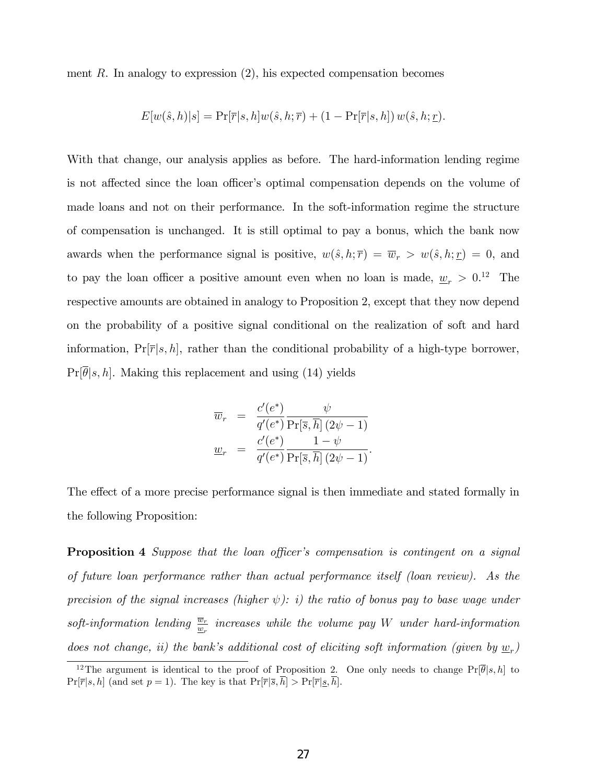ment  $R$ . In analogy to expression  $(2)$ , his expected compensation becomes

$$
E[w(\hat{s},h)|s] = \Pr[\overline{r}|s,h]w(\hat{s},h;\overline{r}) + (1 - \Pr[\overline{r}|s,h])w(\hat{s},h;\underline{r}).
$$

With that change, our analysis applies as before. The hard-information lending regime is not affected since the loan officer's optimal compensation depends on the volume of made loans and not on their performance. In the soft-information regime the structure of compensation is unchanged. It is still optimal to pay a bonus, which the bank now awards when the performance signal is positive,  $w(\hat{s}, h; \overline{r}) = \overline{w}_r > w(\hat{s}, h; \underline{r}) = 0$ , and to pay the loan officer a positive amount even when no loan is made,  $\underline{w}_r > 0$ .<sup>12</sup> The respective amounts are obtained in analogy to Proposition 2, except that they now depend on the probability of a positive signal conditional on the realization of soft and hard information,  $Pr[\overline{r}|s, h]$ , rather than the conditional probability of a high-type borrower,  $Pr[\theta|s, h]$ . Making this replacement and using (14) yields

$$
\overline{w}_r = \frac{c'(e^*)}{q'(e^*)} \frac{\psi}{\Pr[\overline{s}, \overline{h}](2\psi - 1)}
$$

$$
\underline{w}_r = \frac{c'(e^*)}{q'(e^*)} \frac{1 - \psi}{\Pr[\overline{s}, \overline{h}](2\psi - 1)}.
$$

The effect of a more precise performance signal is then immediate and stated formally in the following Proposition:

**Proposition 4** Suppose that the loan officer's compensation is contingent on a signal of future loan performance rather than actual performance itself (loan review). As the precision of the signal increases (higher  $\psi$ ): i) the ratio of bonus pay to base wage under soft-information lending  $\frac{\overline{w}_r}{\underline{w}_r}$  increases while the volume pay W under hard-information does not change, ii) the bank's additional cost of eliciting soft information (given by  $\underline{w}_r$ )

<sup>&</sup>lt;sup>12</sup>The argument is identical to the proof of Proposition 2. One only needs to change  $Pr[\overline{\theta}|s, h]$  to  $Pr[\overline{r}|s,h]$  (and set  $p=1$ ). The key is that  $Pr[\overline{r}|\overline{s},\overline{h}] > Pr[\overline{r}|\underline{s},\overline{h}]$ .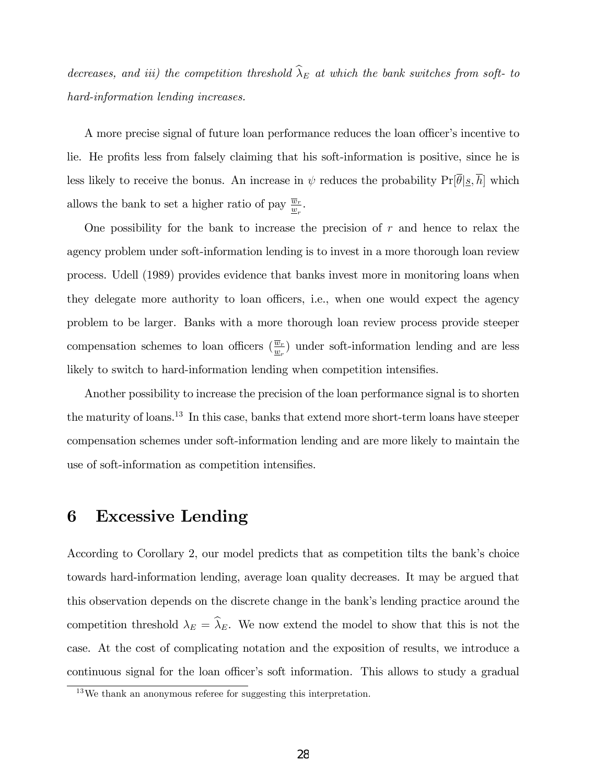decreases, and iii) the competition threshold  $\widehat{\lambda}_E$  at which the bank switches from soft- to hard-information lending increases.

A more precise signal of future loan performance reduces the loan officer's incentive to lie. He profits less from falsely claiming that his soft-information is positive, since he is less likely to receive the bonus. An increase in  $\psi$  reduces the probability  $Pr[\overline{\theta}|\underline{s}, \overline{h}]$  which allows the bank to set a higher ratio of pay  $\frac{\overline{w}_r}{\underline{w}_r}$ .

One possibility for the bank to increase the precision of  $r$  and hence to relax the agency problem under soft-information lending is to invest in a more thorough loan review process. Udell (1989) provides evidence that banks invest more in monitoring loans when they delegate more authority to loan officers, i.e., when one would expect the agency problem to be larger. Banks with a more thorough loan review process provide steeper compensation schemes to loan officers  $(\frac{\overline{w}_r}{w_r})$  under soft-information lending and are less likely to switch to hard-information lending when competition intensifies.

Another possibility to increase the precision of the loan performance signal is to shorten the maturity of loans.<sup>13</sup> In this case, banks that extend more short-term loans have steeper compensation schemes under soft-information lending and are more likely to maintain the use of soft-information as competition intensifies.

### 6 Excessive Lending

According to Corollary 2, our model predicts that as competition tilts the bank's choice towards hard-information lending, average loan quality decreases. It may be argued that this observation depends on the discrete change in the bank's lending practice around the competition threshold  $\lambda_E = \widehat{\lambda}_E$ . We now extend the model to show that this is not the case. At the cost of complicating notation and the exposition of results, we introduce a continuous signal for the loan officer's soft information. This allows to study a gradual

<sup>13</sup>We thank an anonymous referee for suggesting this interpretation.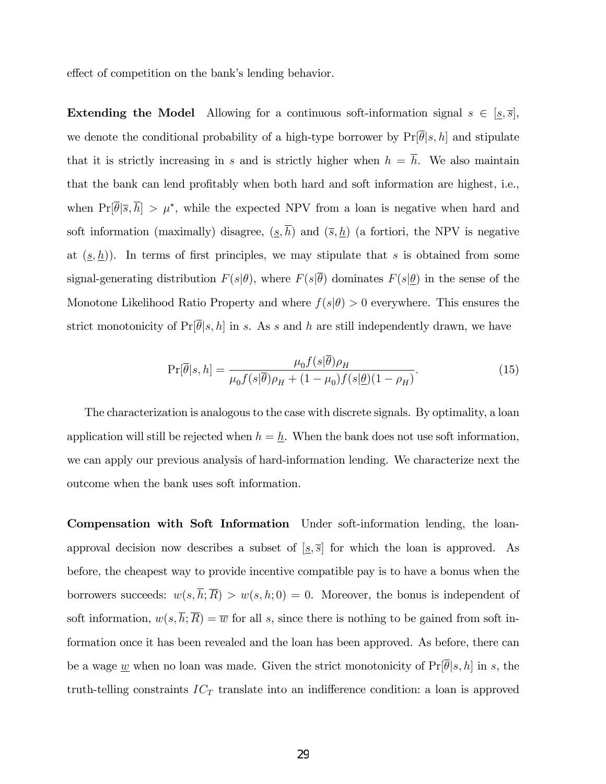effect of competition on the bank's lending behavior.

**Extending the Model** Allowing for a continuous soft-information signal  $s \in [\underline{s}, \overline{s}]$ , we denote the conditional probability of a high-type borrower by  $Pr[\overline{\theta}|s, h]$  and stipulate that it is strictly increasing in s and is strictly higher when  $h = \overline{h}$ . We also maintain that the bank can lend profitably when both hard and soft information are highest, i.e., when  $Pr[\theta|\overline{s}, h] > \mu^*$ , while the expected NPV from a loan is negative when hard and soft information (maximally) disagree,  $(\underline{s}, \overline{h})$  and  $(\overline{s}, \underline{h})$  (a fortiori, the NPV is negative at  $(\underline{s}, \underline{h})$ . In terms of first principles, we may stipulate that s is obtained from some signal-generating distribution  $F(s|\theta)$ , where  $F(s|\overline{\theta})$  dominates  $F(s|\underline{\theta})$  in the sense of the Monotone Likelihood Ratio Property and where  $f(s|\theta) > 0$  everywhere. This ensures the strict monotonicity of  $Pr[\overline{\theta}|s, h]$  in s. As s and h are still independently drawn, we have

$$
\Pr[\overline{\theta}|s,h] = \frac{\mu_0 f(s|\overline{\theta})\rho_H}{\mu_0 f(s|\overline{\theta})\rho_H + (1-\mu_0)f(s|\underline{\theta})(1-\rho_H)}.
$$
\n(15)

The characterization is analogous to the case with discrete signals. By optimality, a loan application will still be rejected when  $h = \underline{h}$ . When the bank does not use soft information, we can apply our previous analysis of hard-information lending. We characterize next the outcome when the bank uses soft information.

Compensation with Soft Information Under soft-information lending, the loanapproval decision now describes a subset of  $[s, \overline{s}]$  for which the loan is approved. As before, the cheapest way to provide incentive compatible pay is to have a bonus when the borrowers succeeds:  $w(s,\overline{h};\overline{R}) > w(s,h;0) = 0$ . Moreover, the bonus is independent of soft information,  $w(s,\overline{h};\overline{R}) = \overline{w}$  for all s, since there is nothing to be gained from soft information once it has been revealed and the loan has been approved. As before, there can be a wage <u>w</u> when no loan was made. Given the strict monotonicity of  $Pr[\theta|s, h]$  in s, the truth-telling constraints  $IC_T$  translate into an indifference condition: a loan is approved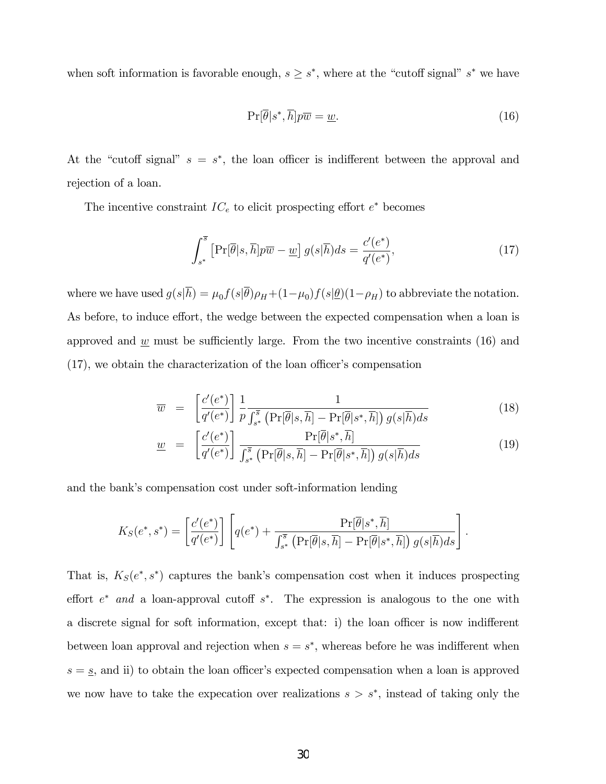when soft information is favorable enough,  $s \geq s^*$ , where at the "cutoff signal"  $s^*$  we have

$$
\Pr[\overline{\theta}|s^*, \overline{h}]p\overline{w} = \underline{w}.\tag{16}
$$

At the "cutoff signal"  $s = s^*$ , the loan officer is indifferent between the approval and rejection of a loan.

The incentive constraint  $IC_e$  to elicit prospecting effort  $e^*$  becomes

$$
\int_{s^*}^{\overline{s}} \left[ \Pr[\overline{\theta}|s,\overline{h}] p\overline{w} - \underline{w} \right] g(s|\overline{h}) ds = \frac{c'(e^*)}{q'(e^*)},\tag{17}
$$

where we have used  $g(s|h) = \mu_0 f(s|\theta) \rho_H + (1-\mu_0)f(s|\theta)(1-\rho_H)$  to abbreviate the notation. As before, to induce effort, the wedge between the expected compensation when a loan is approved and  $\underline{w}$  must be sufficiently large. From the two incentive constraints (16) and  $(17)$ , we obtain the characterization of the loan officer's compensation

$$
\overline{w} = \left[ \frac{c'(e^*)}{q'(e^*)} \right] \frac{1}{p} \frac{1}{\int_{s^*}^{\overline{s}} \left( \Pr[\overline{\theta}|s,\overline{h}] - \Pr[\overline{\theta}|s^*,\overline{h}] \right) g(s|\overline{h}) ds} \tag{18}
$$

$$
\underline{w} = \left[ \frac{c'(e^*)}{q'(e^*)} \right] \frac{\Pr[\overline{\theta}|s^*, \overline{h}]}{\int_{s^*}^{\overline{s}} \left( \Pr[\overline{\theta}|s, \overline{h}] - \Pr[\overline{\theta}|s^*, \overline{h}] \right) g(s|\overline{h}) ds} \tag{19}
$$

and the bank's compensation cost under soft-information lending

$$
K_S(e^*,s^*) = \left[\frac{c'(e^*)}{q'(e^*)}\right] \left[q(e^*) + \frac{\Pr[\overline{\theta}|s^*,\overline{h}]}{\int_{s^*}^{\overline{s}} \left(\Pr[\overline{\theta}|s,\overline{h}] - \Pr[\overline{\theta}|s^*,\overline{h}]\right) g(s|\overline{h}) ds}\right].
$$

That is,  $K_S(e^*, s^*)$  captures the bank's compensation cost when it induces prospecting effort  $e^*$  and a loan-approval cutoff  $s^*$ . The expression is analogous to the one with a discrete signal for soft information, except that: i) the loan officer is now indifferent between loan approval and rejection when  $s = s^*$ , whereas before he was indifferent when  $s = s$ , and ii) to obtain the loan officer's expected compensation when a loan is approved we now have to take the expecation over realizations  $s > s^*$ , instead of taking only the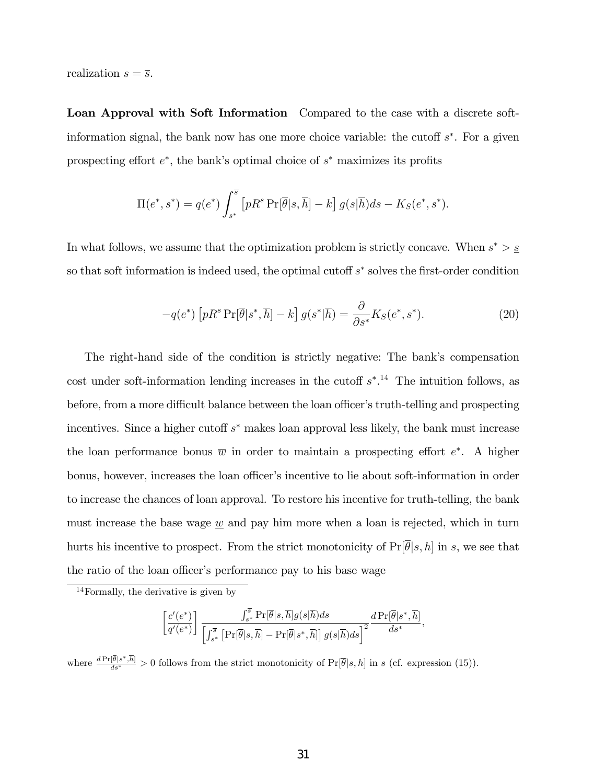realization  $s = \overline{s}$ .

Loan Approval with Soft Information Compared to the case with a discrete softinformation signal, the bank now has one more choice variable: the cutoff  $s^*$ . For a given prospecting effort  $e^*$ , the bank's optimal choice of  $s^*$  maximizes its profits

$$
\Pi(e^*, s^*) = q(e^*) \int_{s^*}^{\overline{s}} \left[ p R^s \Pr[\overline{\theta}|s, \overline{h}] - k \right] g(s|\overline{h}) ds - K_S(e^*, s^*).
$$

In what follows, we assume that the optimization problem is strictly concave. When  $s^* > \underline{s}$ so that soft information is indeed used, the optimal cutoff  $s^*$  solves the first-order condition

$$
-q(e^*)\left[pR^s\Pr[\overline{\theta}|s^*,\overline{h}]-k\right]g(s^*|\overline{h})=\frac{\partial}{\partial s^*}K_S(e^*,s^*).
$$
\n(20)

The right-hand side of the condition is strictly negative: The bank's compensation cost under soft-information lending increases in the cutoff  $s^*$ .<sup>14</sup> The intuition follows, as before, from a more difficult balance between the loan officer's truth-telling and prospecting incentives. Since a higher cutoff  $s^*$  makes loan approval less likely, the bank must increase the loan performance bonus  $\overline{w}$  in order to maintain a prospecting effort  $e^*$ . A higher bonus, however, increases the loan officer's incentive to lie about soft-information in order to increase the chances of loan approval. To restore his incentive for truth-telling, the bank must increase the base wage  $w$  and pay him more when a loan is rejected, which in turn hurts his incentive to prospect. From the strict monotonicity of  $Pr[\overline{\theta}|s, h]$  in s, we see that the ratio of the loan officer's performance pay to his base wage

<sup>14</sup>Formally, the derivative is given by

$$
\left[\frac{c'(e^*)}{q'(e^*)}\right] \frac{\int_{s^*}^{\overline{s}} \Pr[\overline{\theta}|s,\overline{h}] g(s|\overline{h}) ds}{\left[\int_{s^*}^{\overline{s}} \left[\Pr[\overline{\theta}|s,\overline{h}] - \Pr[\overline{\theta}|s^*,\overline{h}] \right] g(s|\overline{h}) ds\right]^2} \frac{d \Pr[\overline{\theta}|s^*,\overline{h}]}{ds^*},
$$

where  $\frac{d \Pr[\theta | s^*, h]}{ds^*} > 0$  follows from the strict monotonicity of  $\Pr[\overline{\theta}|s, h]$  in s (cf. expression (15)).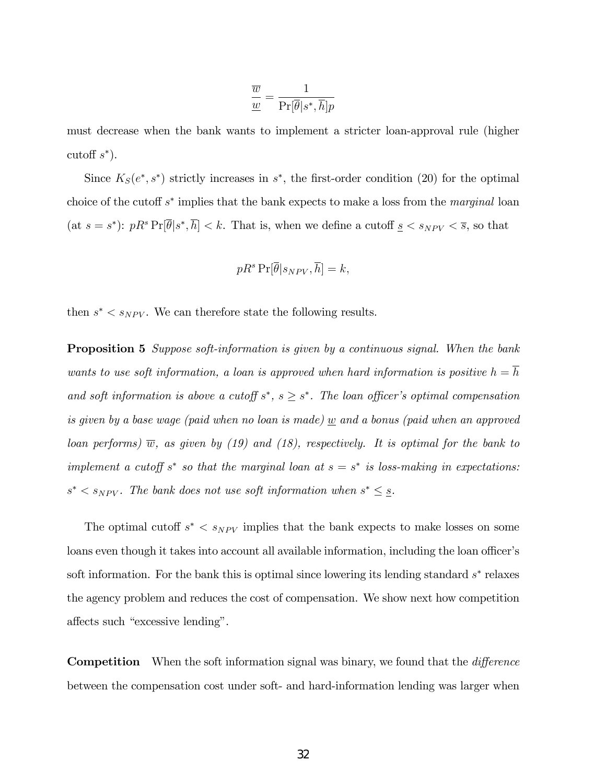$$
\frac{\overline{w}}{\underline{w}} = \frac{1}{\Pr[\overline{\theta}|s^*, \overline{h}]p}
$$

must decrease when the bank wants to implement a stricter loan-approval rule (higher cutoff  $s^*$ ).

Since  $K_S(e^*, s^*)$  strictly increases in  $s^*$ , the first-order condition (20) for the optimal choice of the cutoff  $s^*$  implies that the bank expects to make a loss from the *marginal* loan (at  $s = s^*$ ):  $pR^s \Pr[\overline{\theta}|s^*, \overline{h}] < k$ . That is, when we define a cutoff  $s < s_{NPV} < \overline{s}$ , so that

$$
pR^s\Pr[\overline{\theta}|s_{NPV}, \overline{h}] = k,
$$

then  $s^* < s_{NPV}$ . We can therefore state the following results.

**Proposition 5** Suppose soft-information is given by a continuous signal. When the bank wants to use soft information, a loan is approved when hard information is positive  $h = \overline{h}$ and soft information is above a cutoff  $s^*$ ,  $s \geq s^*$ . The loan officer's optimal compensation is given by a base wage (paid when no loan is made) w and a bonus (paid when an approved loan performs)  $\overline{w}$ , as given by (19) and (18), respectively. It is optimal for the bank to implement a cutoff  $s^*$  so that the marginal loan at  $s = s^*$  is loss-making in expectations:  $s^* < s_{NPV}$ . The bank does not use soft information when  $s^* \leq s$ .

The optimal cutoff  $s^* < s_{NPV}$  implies that the bank expects to make losses on some loans even though it takes into account all available information, including the loan officer's soft information. For the bank this is optimal since lowering its lending standard  $s^*$  relaxes the agency problem and reduces the cost of compensation. We show next how competition affects such "excessive lending".

**Competition** When the soft information signal was binary, we found that the *difference* between the compensation cost under soft- and hard-information lending was larger when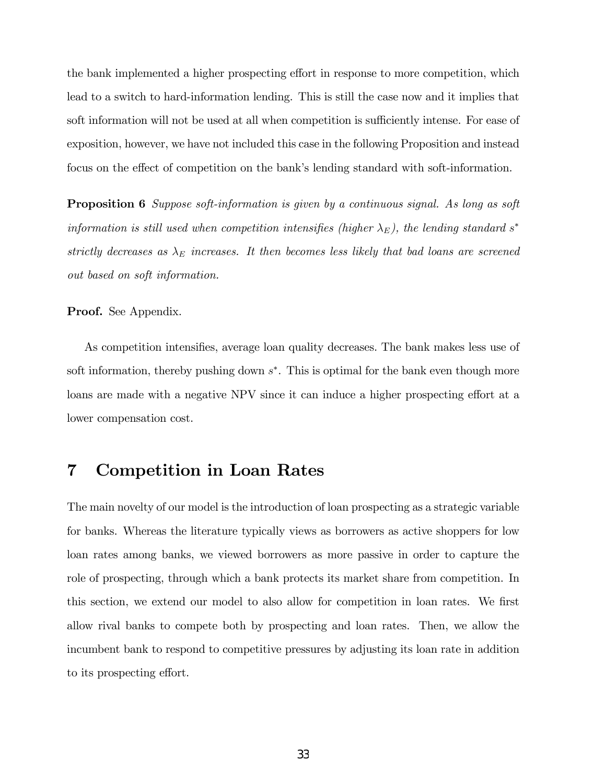the bank implemented a higher prospecting effort in response to more competition, which lead to a switch to hard-information lending. This is still the case now and it implies that soft information will not be used at all when competition is sufficiently intense. For ease of exposition, however, we have not included this case in the following Proposition and instead focus on the effect of competition on the bank's lending standard with soft-information.

**Proposition 6** Suppose soft-information is given by a continuous signal. As long as soft information is still used when competition intensifies (higher  $\lambda_E$ ), the lending standard s<sup>\*</sup> strictly decreases as  $\lambda_E$  increases. It then becomes less likely that bad loans are screened out based on soft information.

Proof. See Appendix.

As competition intensifies, average loan quality decreases. The bank makes less use of soft information, thereby pushing down  $s^*$ . This is optimal for the bank even though more loans are made with a negative NPV since it can induce a higher prospecting effort at a lower compensation cost.

# 7 Competition in Loan Rates

The main novelty of our model is the introduction of loan prospecting as a strategic variable for banks. Whereas the literature typically views as borrowers as active shoppers for low loan rates among banks, we viewed borrowers as more passive in order to capture the role of prospecting, through which a bank protects its market share from competition. In this section, we extend our model to also allow for competition in loan rates. We first allow rival banks to compete both by prospecting and loan rates. Then, we allow the incumbent bank to respond to competitive pressures by adjusting its loan rate in addition to its prospecting effort.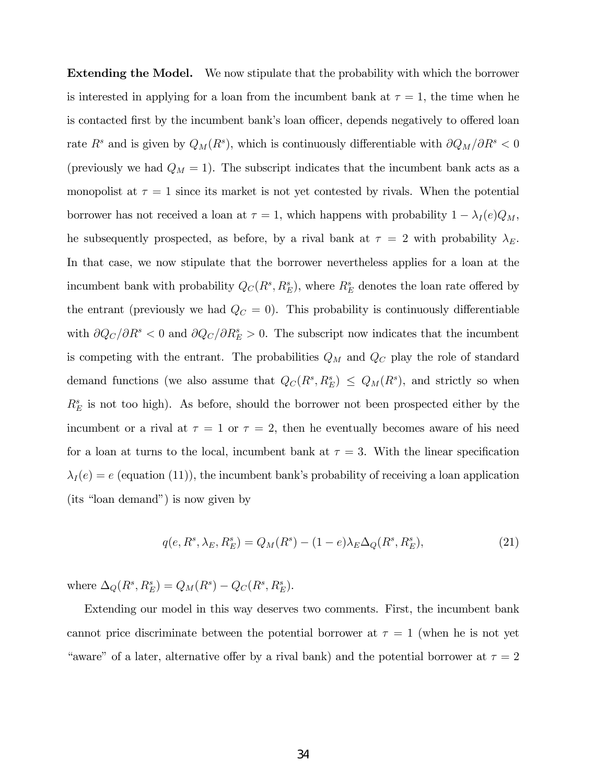Extending the Model. We now stipulate that the probability with which the borrower is interested in applying for a loan from the incumbent bank at  $\tau = 1$ , the time when he is contacted first by the incumbent bank's loan officer, depends negatively to offered loan rate  $R^s$  and is given by  $Q_M(R^s)$ , which is continuously differentiable with  $\partial Q_M/\partial R^s < 0$ (previously we had  $Q_M = 1$ ). The subscript indicates that the incumbent bank acts as a monopolist at  $\tau = 1$  since its market is not yet contested by rivals. When the potential borrower has not received a loan at  $\tau = 1$ , which happens with probability  $1 - \lambda_I(e)Q_M$ , he subsequently prospected, as before, by a rival bank at  $\tau = 2$  with probability  $\lambda_E$ . In that case, we now stipulate that the borrower nevertheless applies for a loan at the incumbent bank with probability  $Q_C(R^s, R_E^s)$ , where  $R_E^s$  denotes the loan rate offered by the entrant (previously we had  $Q_C = 0$ ). This probability is continuously differentiable with  $\partial Q_C/\partial R^s < 0$  and  $\partial Q_C/\partial R^s = 0$ . The subscript now indicates that the incumbent is competing with the entrant. The probabilities  $Q_M$  and  $Q_C$  play the role of standard demand functions (we also assume that  $Q_C(R^s, R_E^s) \leq Q_M(R^s)$ , and strictly so when  $R_E^s$  is not too high). As before, should the borrower not been prospected either by the incumbent or a rival at  $\tau = 1$  or  $\tau = 2$ , then he eventually becomes aware of his need for a loan at turns to the local, incumbent bank at  $\tau = 3$ . With the linear specification  $\lambda_I(e) = e$  (equation (11)), the incumbent bank's probability of receiving a loan application  $(its "loan demand")$  is now given by

$$
q(e, R^s, \lambda_E, R_E^s) = Q_M(R^s) - (1 - e)\lambda_E \Delta_Q(R^s, R_E^s),
$$
\n(21)

where  $\Delta_{Q}(R^{s}, R_{E}^{s}) = Q_{M}(R^{s}) - Q_{C}(R^{s}, R_{E}^{s}).$ 

Extending our model in this way deserves two comments. First, the incumbent bank cannot price discriminate between the potential borrower at  $\tau = 1$  (when he is not yet "aware" of a later, alternative offer by a rival bank) and the potential borrower at  $\tau = 2$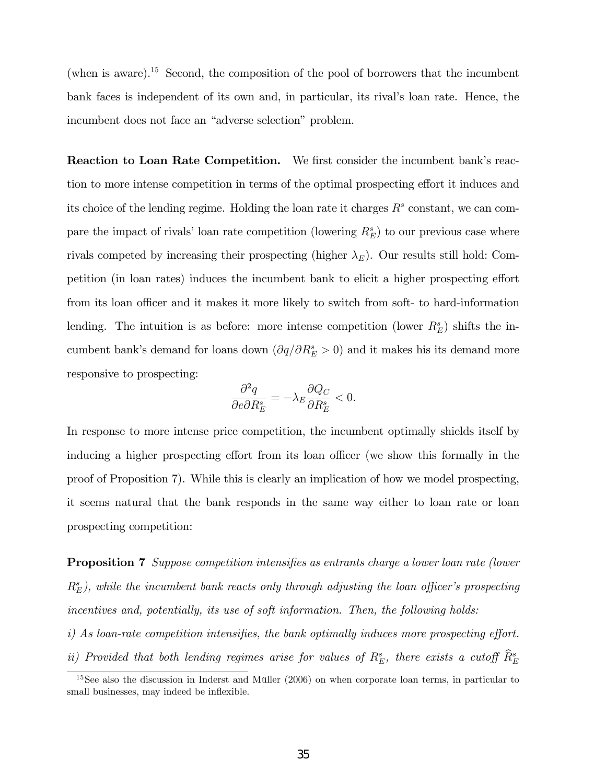(when is aware).<sup>15</sup> Second, the composition of the pool of borrowers that the incumbent bank faces is independent of its own and, in particular, its rival's loan rate. Hence, the incumbent does not face an "adverse selection" problem.

Reaction to Loan Rate Competition. We first consider the incumbent bank's reaction to more intense competition in terms of the optimal prospecting effort it induces and its choice of the lending regime. Holding the loan rate it charges  $R<sup>s</sup>$  constant, we can compare the impact of rivals' loan rate competition (lowering  $R_E^s$ ) to our previous case where rivals competed by increasing their prospecting (higher  $\lambda_E$ ). Our results still hold: Competition (in loan rates) induces the incumbent bank to elicit a higher prospecting effort from its loan officer and it makes it more likely to switch from soft- to hard-information lending. The intuition is as before: more intense competition (lower  $R_E^s$ ) shifts the incumbent bank's demand for loans down  $\left(\partial q/\partial R_E^s > 0\right)$  and it makes his its demand more responsive to prospecting:

$$
\frac{\partial^2 q}{\partial e \partial R_E^s} = -\lambda_E \frac{\partial Q_C}{\partial R_E^s} < 0.
$$

In response to more intense price competition, the incumbent optimally shields itself by inducing a higher prospecting effort from its loan officer (we show this formally in the proof of Proposition 7). While this is clearly an implication of how we model prospecting, it seems natural that the bank responds in the same way either to loan rate or loan prospecting competition:

**Proposition 7** Suppose competition intensifies as entrants charge a lower loan rate (lower  $R_{E}^{s}$ ), while the incumbent bank reacts only through adjusting the loan officer's prospecting incentives and, potentially, its use of soft information. Then, the following holds: i) As loan-rate competition intensifies, the bank optimally induces more prospecting effort. ii) Provided that both lending regimes arise for values of  $R_E^s$ , there exists a cutoff  $\hat{R}_E^s$ 

 $15$ See also the discussion in Inderst and Müller (2006) on when corporate loan terms, in particular to small businesses, may indeed be inflexible.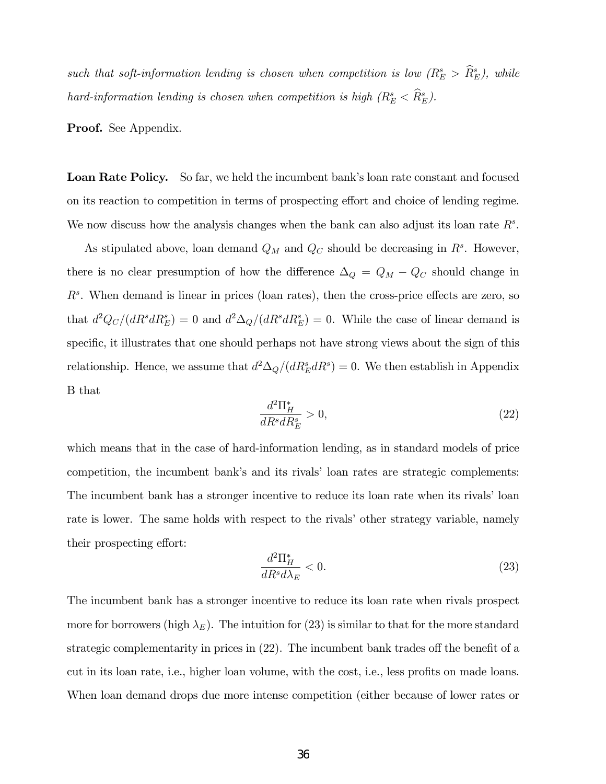such that soft-information lending is chosen when competition is low  $(R_E^s > R_E^s)$ , while hard-information lending is chosen when competition is high  $(R_E^s < \hat{R}_E^s)$ .

Proof. See Appendix.

Loan Rate Policy. So far, we held the incumbent bank's loan rate constant and focused on its reaction to competition in terms of prospecting effort and choice of lending regime. We now discuss how the analysis changes when the bank can also adjust its loan rate  $R^s$ .

As stipulated above, loan demand  $Q_M$  and  $Q_C$  should be decreasing in  $R^s$ . However, there is no clear presumption of how the difference  $\Delta_Q = Q_M - Q_C$  should change in  $R<sup>s</sup>$ . When demand is linear in prices (loan rates), then the cross-price effects are zero, so that  $d^2Q_C/(dR^s dR_E^s) = 0$  and  $d^2\Delta_Q/(dR^s dR_E^s) = 0$ . While the case of linear demand is specific, it illustrates that one should perhaps not have strong views about the sign of this relationship. Hence, we assume that  $d^2\Delta_Q/(dR_E^s dR^s) = 0$ . We then establish in Appendix B that

$$
\frac{d^2 \Pi_H^*}{dR^s dR_E^s} > 0,\t\t(22)
$$

which means that in the case of hard-information lending, as in standard models of price competition, the incumbent bank's and its rivals' loan rates are strategic complements: The incumbent bank has a stronger incentive to reduce its loan rate when its rivals' loan rate is lower. The same holds with respect to the rivals' other strategy variable, namely their prospecting effort:

$$
\frac{d^2 \Pi_H^*}{dR^s d\lambda_E} < 0. \tag{23}
$$

The incumbent bank has a stronger incentive to reduce its loan rate when rivals prospect more for borrowers (high  $\lambda_E$ ). The intuition for (23) is similar to that for the more standard strategic complementarity in prices in  $(22)$ . The incumbent bank trades off the benefit of a cut in its loan rate, i.e., higher loan volume, with the cost, i.e., less profits on made loans. When loan demand drops due more intense competition (either because of lower rates or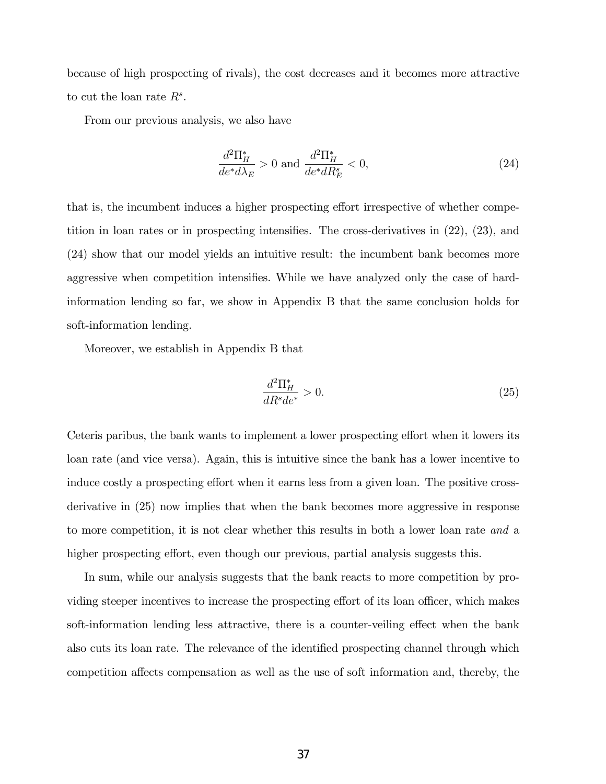because of high prospecting of rivals), the cost decreases and it becomes more attractive to cut the loan rate  $R^s$ .

From our previous analysis, we also have

$$
\frac{d^2\Pi_H^*}{de^*d\lambda_E} > 0 \text{ and } \frac{d^2\Pi_H^*}{de^*dR_E^s} < 0,
$$
\n
$$
(24)
$$

that is, the incumbent induces a higher prospecting effort irrespective of whether competition in loan rates or in prospecting intensifies. The cross-derivatives in  $(22)$ ,  $(23)$ , and (24) show that our model yields an intuitive result: the incumbent bank becomes more aggressive when competition intensifies. While we have analyzed only the case of hardinformation lending so far, we show in Appendix B that the same conclusion holds for soft-information lending.

Moreover, we establish in Appendix B that

$$
\frac{d^2 \Pi_H^*}{dR^s de^*} > 0.
$$
\n(25)

Ceteris paribus, the bank wants to implement a lower prospecting effort when it lowers its loan rate (and vice versa). Again, this is intuitive since the bank has a lower incentive to induce costly a prospecting effort when it earns less from a given loan. The positive crossderivative in (25) now implies that when the bank becomes more aggressive in response to more competition, it is not clear whether this results in both a lower loan rate and a higher prospecting effort, even though our previous, partial analysis suggests this.

In sum, while our analysis suggests that the bank reacts to more competition by providing steeper incentives to increase the prospecting effort of its loan officer, which makes soft-information lending less attractive, there is a counter-veiling effect when the bank also cuts its loan rate. The relevance of the identified prospecting channel through which competition affects compensation as well as the use of soft information and, thereby, the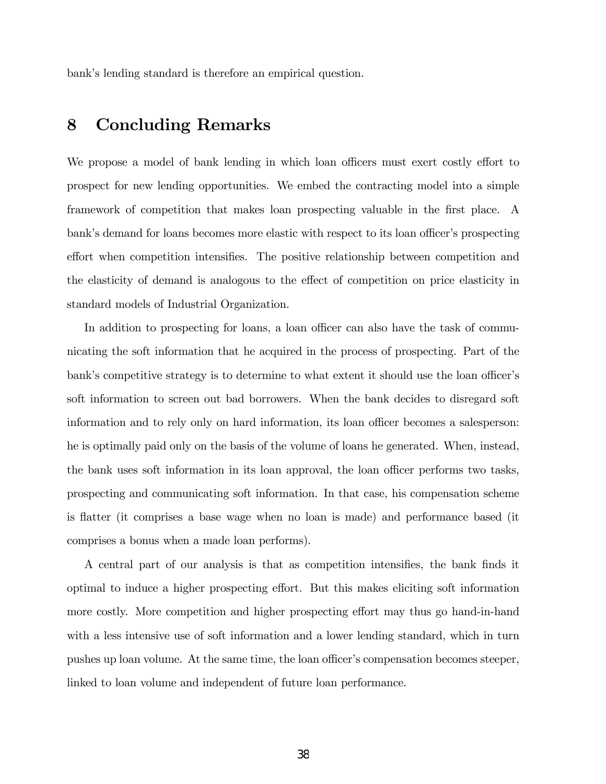bank's lending standard is therefore an empirical question.

## 8 Concluding Remarks

We propose a model of bank lending in which loan officers must exert costly effort to prospect for new lending opportunities. We embed the contracting model into a simple framework of competition that makes loan prospecting valuable in the first place. A bank's demand for loans becomes more elastic with respect to its loan officer's prospecting effort when competition intensifies. The positive relationship between competition and the elasticity of demand is analogous to the effect of competition on price elasticity in standard models of Industrial Organization.

In addition to prospecting for loans, a loan officer can also have the task of communicating the soft information that he acquired in the process of prospecting. Part of the bank's competitive strategy is to determine to what extent it should use the loan officer's soft information to screen out bad borrowers. When the bank decides to disregard soft information and to rely only on hard information, its loan officer becomes a salesperson: he is optimally paid only on the basis of the volume of loans he generated. When, instead, the bank uses soft information in its loan approval, the loan officer performs two tasks, prospecting and communicating soft information. In that case, his compensation scheme is flatter (it comprises a base wage when no loan is made) and performance based (it comprises a bonus when a made loan performs).

A central part of our analysis is that as competition intensifies, the bank finds it optimal to induce a higher prospecting effort. But this makes eliciting soft information more costly. More competition and higher prospecting effort may thus go hand-in-hand with a less intensive use of soft information and a lower lending standard, which in turn pushes up loan volume. At the same time, the loan officer's compensation becomes steeper, linked to loan volume and independent of future loan performance.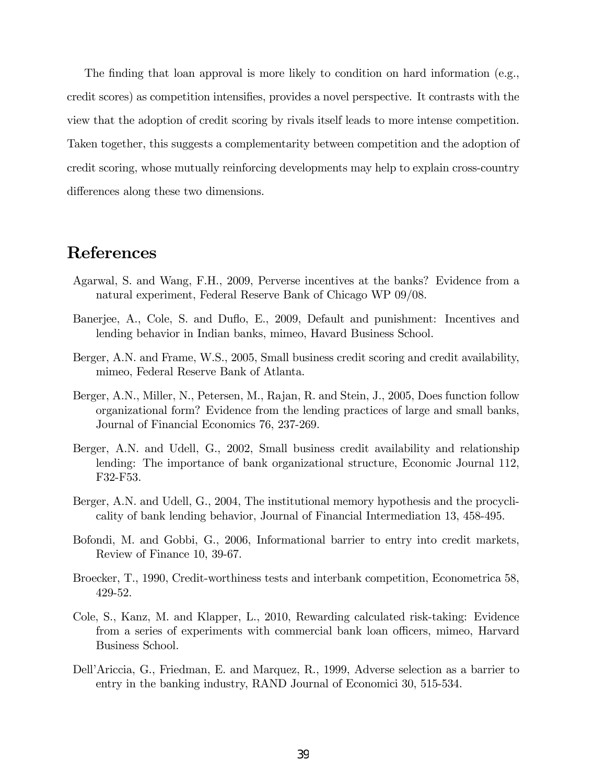The finding that loan approval is more likely to condition on hard information (e.g., credit scores) as competition intensifies, provides a novel perspective. It contrasts with the view that the adoption of credit scoring by rivals itself leads to more intense competition. Taken together, this suggests a complementarity between competition and the adoption of credit scoring, whose mutually reinforcing developments may help to explain cross-country differences along these two dimensions.

## References

- Agarwal, S. and Wang, F.H., 2009, Perverse incentives at the banks? Evidence from a natural experiment, Federal Reserve Bank of Chicago WP 09/08.
- Banerjee, A., Cole, S. and Duflo, E., 2009, Default and punishment: Incentives and lending behavior in Indian banks, mimeo, Havard Business School.
- Berger, A.N. and Frame, W.S., 2005, Small business credit scoring and credit availability, mimeo, Federal Reserve Bank of Atlanta.
- Berger, A.N., Miller, N., Petersen, M., Rajan, R. and Stein, J., 2005, Does function follow organizational form? Evidence from the lending practices of large and small banks, Journal of Financial Economics 76, 237-269.
- Berger, A.N. and Udell, G., 2002, Small business credit availability and relationship lending: The importance of bank organizational structure, Economic Journal 112, F32-F53.
- Berger, A.N. and Udell, G., 2004, The institutional memory hypothesis and the procyclicality of bank lending behavior, Journal of Financial Intermediation 13, 458-495.
- Bofondi, M. and Gobbi, G., 2006, Informational barrier to entry into credit markets, Review of Finance 10, 39-67.
- Broecker, T., 1990, Credit-worthiness tests and interbank competition, Econometrica 58, 429-52.
- Cole, S., Kanz, M. and Klapper, L., 2010, Rewarding calculated risk-taking: Evidence from a series of experiments with commercial bank loan officers, mimeo, Harvard Business School.
- DellíAriccia, G., Friedman, E. and Marquez, R., 1999, Adverse selection as a barrier to entry in the banking industry, RAND Journal of Economici 30, 515-534.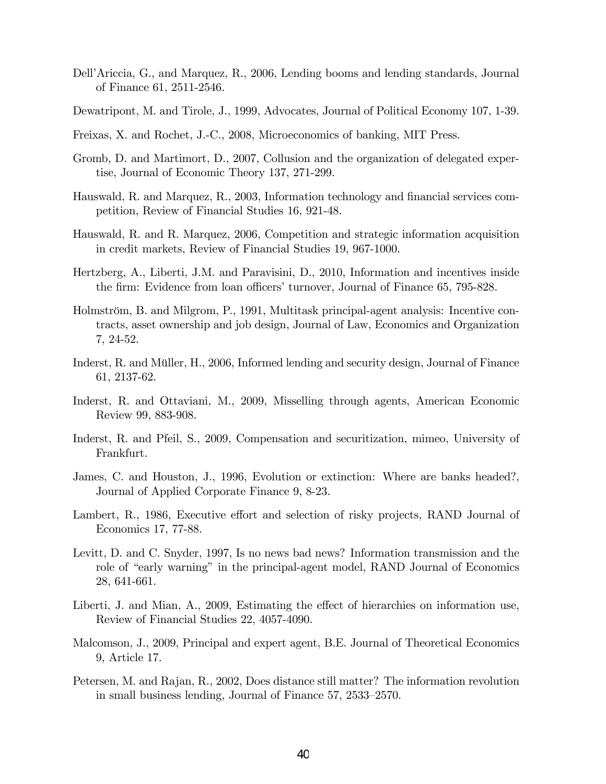- DellíAriccia, G., and Marquez, R., 2006, Lending booms and lending standards, Journal of Finance 61, 2511-2546.
- Dewatripont, M. and Tirole, J., 1999, Advocates, Journal of Political Economy 107, 1-39.
- Freixas, X. and Rochet, J.-C., 2008, Microeconomics of banking, MIT Press.
- Gromb, D. and Martimort, D., 2007, Collusion and the organization of delegated expertise, Journal of Economic Theory 137, 271-299.
- Hauswald, R. and Marquez, R., 2003, Information technology and financial services competition, Review of Financial Studies 16, 921-48.
- Hauswald, R. and R. Marquez, 2006, Competition and strategic information acquisition in credit markets, Review of Financial Studies 19, 967-1000.
- Hertzberg, A., Liberti, J.M. and Paravisini, D., 2010, Information and incentives inside the firm: Evidence from loan officers' turnover, Journal of Finance 65, 795-828.
- Holmström, B. and Milgrom, P., 1991, Multitask principal-agent analysis: Incentive contracts, asset ownership and job design, Journal of Law, Economics and Organization 7, 24-52.
- Inderst, R. and Müller, H., 2006, Informed lending and security design, Journal of Finance 61, 2137-62.
- Inderst, R. and Ottaviani, M., 2009, Misselling through agents, American Economic Review 99, 883-908.
- Inderst, R. and Pfeil, S., 2009, Compensation and securitization, mimeo, University of Frankfurt.
- James, C. and Houston, J., 1996, Evolution or extinction: Where are banks headed?, Journal of Applied Corporate Finance 9, 8-23.
- Lambert, R., 1986, Executive effort and selection of risky projects, RAND Journal of Economics 17, 77-88.
- Levitt, D. and C. Snyder, 1997, Is no news bad news? Information transmission and the role of "early warning" in the principal-agent model, RAND Journal of Economics 28, 641-661.
- Liberti, J. and Mian, A., 2009, Estimating the effect of hierarchies on information use, Review of Financial Studies 22, 4057-4090.
- Malcomson, J., 2009, Principal and expert agent, B.E. Journal of Theoretical Economics 9, Article 17.
- Petersen, M. and Rajan, R., 2002, Does distance still matter? The information revolution in small business lending, Journal of Finance  $57$ ,  $2533-2570$ .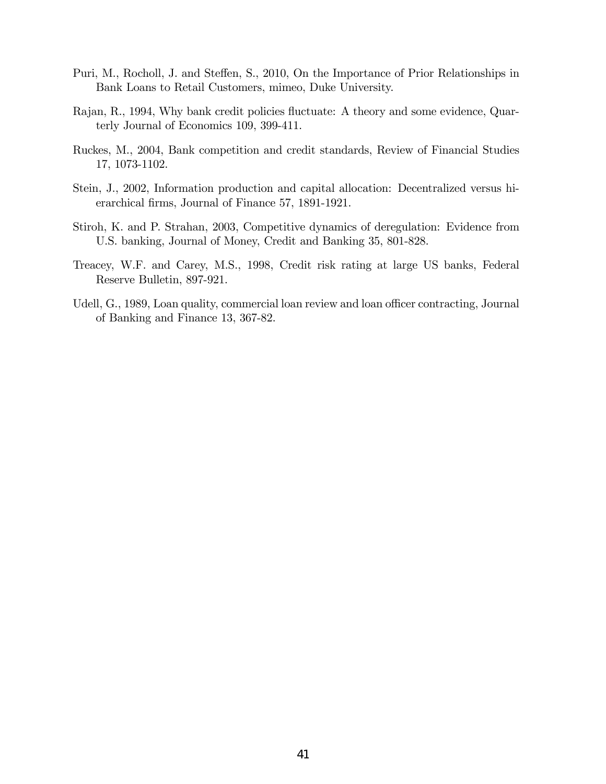- Puri, M., Rocholl, J. and Steffen, S., 2010, On the Importance of Prior Relationships in Bank Loans to Retail Customers, mimeo, Duke University.
- Rajan, R., 1994, Why bank credit policies fluctuate: A theory and some evidence, Quarterly Journal of Economics 109, 399-411.
- Ruckes, M., 2004, Bank competition and credit standards, Review of Financial Studies 17, 1073-1102.
- Stein, J., 2002, Information production and capital allocation: Decentralized versus hierarchical firms, Journal of Finance 57, 1891-1921.
- Stiroh, K. and P. Strahan, 2003, Competitive dynamics of deregulation: Evidence from U.S. banking, Journal of Money, Credit and Banking 35, 801-828.
- Treacey, W.F. and Carey, M.S., 1998, Credit risk rating at large US banks, Federal Reserve Bulletin, 897-921.
- Udell, G., 1989, Loan quality, commercial loan review and loan officer contracting, Journal of Banking and Finance 13, 367-82.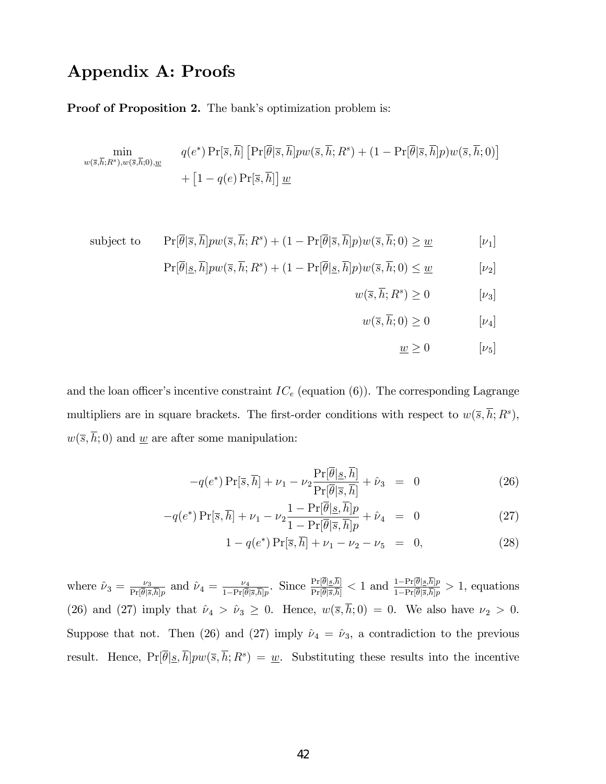## Appendix A: Proofs

#### Proof of Proposition 2. The bank's optimization problem is:

$$
\min_{w(\overline{s},\overline{h};R^s),w(\overline{s},\overline{h};0),\underline{w}} \qquad q(e^*) \Pr[\overline{s},\overline{h}] \left[ \Pr[\overline{\theta}|\overline{s},\overline{h}] pw(\overline{s},\overline{h};R^s) + (1 - \Pr[\overline{\theta}|\overline{s},\overline{h}] p) w(\overline{s},\overline{h};0) \right] + \left[ 1 - q(e) \Pr[\overline{s},\overline{h}] \right] \underline{w}
$$

subject to 
$$
\Pr[\overline{\theta}|\overline{s}, \overline{h}]p w(\overline{s}, \overline{h}; R^s) + (1 - \Pr[\overline{\theta}|\overline{s}, \overline{h}]p)w(\overline{s}, \overline{h}; 0) \geq \underline{w} \qquad [\nu_1]
$$

$$
\Pr[\overline{\theta}|\underline{s}, \overline{h}] pw(\overline{s}, \overline{h}; R^s) + (1 - \Pr[\overline{\theta}|\underline{s}, \overline{h}] p) w(\overline{s}, \overline{h}; 0) \le \underline{w} \qquad [\nu_2]
$$

$$
w(\overline{s}, \overline{h}; R^s) \ge 0 \qquad [\nu_3]
$$

$$
w(\overline{s}, \overline{h}; 0) \ge 0 \qquad [\nu_4]
$$

$$
\underline{w} \ge 0 \qquad [\nu_5]
$$

and the loan officer's incentive constraint  $IC_e$  (equation (6)). The corresponding Lagrange multipliers are in square brackets. The first-order conditions with respect to  $w(\bar{s}, \bar{h}; R^s)$ ,  $w(\overline{s}, \overline{h}; 0)$  and <u>w</u> are after some manipulation:

$$
-q(e^*)\Pr[\overline{s}, \overline{h}] + \nu_1 - \nu_2 \frac{\Pr[\overline{\theta}|\underline{s}, \overline{h}]}{\Pr[\overline{\theta}|\overline{s}, \overline{h}]} + \hat{\nu}_3 = 0 \tag{26}
$$

$$
-q(e^*)\Pr[\overline{s}, \overline{h}] + \nu_1 - \nu_2 \frac{1 - \Pr[\overline{\theta}|\underline{s}, \overline{h}]}{1 - \Pr[\overline{\theta}|\overline{s}, \overline{h}]} p + \hat{\nu}_4 = 0 \tag{27}
$$

$$
1 - q(e^*) \Pr[\bar{s}, \bar{h}] + \nu_1 - \nu_2 - \nu_5 = 0, \tag{28}
$$

where  $\hat{\nu}_3 = \frac{\nu_3}{\Pr[\bar{\theta}]_2}$  $\frac{\nu_3}{\Pr[\overline{\theta}|\overline{s},\overline{h}]p}$  and  $\hat{\nu}_4 = \frac{\nu_4}{1-\Pr[\overline{\theta}]}$  $\frac{\nu_4}{1-\Pr[\overline{\theta}|\overline{s},\overline{h}]p}$ . Since  $\frac{\Pr[\theta|_{\underline{s}},h]}{\Pr[\overline{\theta}|\overline{s},\overline{h}]} < 1$  and  $\frac{1-\Pr[\theta|_{\underline{s}},h]p}{1-\Pr[\overline{\theta}|\overline{s},\overline{h}]p}$  $\frac{1-\Pr[\theta|\mathcal{S},h]p}{1-\Pr[\overline{\theta}|\overline{\mathcal{S},h}]p} > 1$ , equations (26) and (27) imply that  $\hat{\nu}_4 > \hat{\nu}_3 \ge 0$ . Hence,  $w(\bar{s}, \bar{h}; 0) = 0$ . We also have  $\nu_2 > 0$ . Suppose that not. Then (26) and (27) imply  $\hat{\nu}_4 = \hat{\nu}_3$ , a contradiction to the previous result. Hence,  $Pr[\overline{\theta} | \underline{s}, \overline{h}] pw(\overline{s}, \overline{h}; R^s) = \underline{w}$ . Substituting these results into the incentive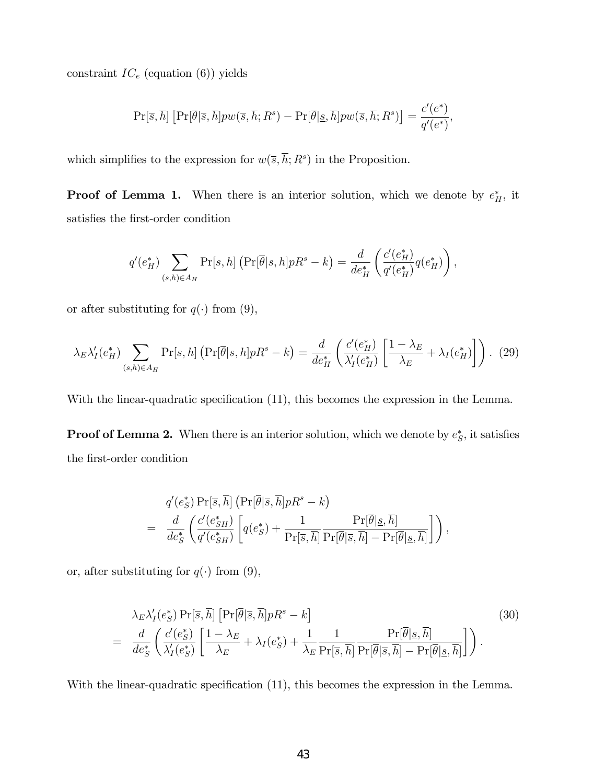constraint  $IC_e$  (equation (6)) yields

$$
\Pr[\overline{s}, \overline{h}] \left[ \Pr[\overline{\theta} | \overline{s}, \overline{h}] p w(\overline{s}, \overline{h}; R^s) - \Pr[\overline{\theta} | \underline{s}, \overline{h}] p w(\overline{s}, \overline{h}; R^s) \right] = \frac{c'(e^*)}{q'(e^*)},
$$

which simplifies to the expression for  $w(\overline{s}, \overline{h}; R^s)$  in the Proposition.

**Proof of Lemma 1.** When there is an interior solution, which we denote by  $e_H^*$ , it satisfies the first-order condition

$$
q'(e_H^*) \sum_{(s,h)\in A_H} \Pr[s,h] \left( \Pr[\overline{\theta}|s,h] p R^s - k \right) = \frac{d}{de_H^*} \left( \frac{c'(e_H^*)}{q'(e_H^*)} q(e_H^*) \right),
$$

or after substituting for  $q(\cdot)$  from (9),

$$
\lambda_E \lambda_I'(e_H^*) \sum_{(s,h)\in A_H} \Pr[s,h] \left( \Pr[\overline{\theta}|s,h] p R^s - k \right) = \frac{d}{de_H^*} \left( \frac{c'(e_H^*)}{\lambda_I'(e_H^*)} \left[ \frac{1-\lambda_E}{\lambda_E} + \lambda_I(e_H^*) \right] \right). \tag{29}
$$

With the linear-quadratic specification  $(11)$ , this becomes the expression in the Lemma.

**Proof of Lemma 2.** When there is an interior solution, which we denote by  $e^*_S$ , it satisfies the first-order condition

$$
q'(e^*_{S}) \Pr[\overline{s}, \overline{h}] \left( \Pr[\overline{\theta} | \overline{s}, \overline{h}] p R^s - k \right) = \frac{d}{de^*_{S}} \left( \frac{c'(e^*_{SH})}{q'(e^*_{SH})} \left[ q(e^*_{S}) + \frac{1}{\Pr[\overline{s}, \overline{h}]} \frac{\Pr[\overline{\theta} | \underline{s}, \overline{h}]}{\Pr[\overline{\theta} | \overline{s}, \overline{h}]} - \Pr[\overline{\theta} | \underline{s}, \overline{h}]\right) \right),
$$

or, after substituting for  $q(\cdot)$  from (9),

$$
\lambda_E \lambda_I'(e_S^*) \Pr[\overline{s}, \overline{h}] \left[ \Pr[\overline{\theta} | \overline{s}, \overline{h}] p R^s - k \right]
$$
\n
$$
= \frac{d}{de_S^*} \left( \frac{c'(e_S^*)}{\lambda_I'(e_S^*)} \left[ \frac{1 - \lambda_E}{\lambda_E} + \lambda_I(e_S^*) + \frac{1}{\lambda_E} \frac{1}{\Pr[\overline{s}, \overline{h}]} \frac{\Pr[\overline{\theta} | \underline{s}, \overline{h}]}{\Pr[\overline{\theta} | \overline{s}, \overline{h}] - \Pr[\overline{\theta} | \underline{s}, \overline{h}]} \right] \right).
$$
\n(30)

With the linear-quadratic specification  $(11)$ , this becomes the expression in the Lemma.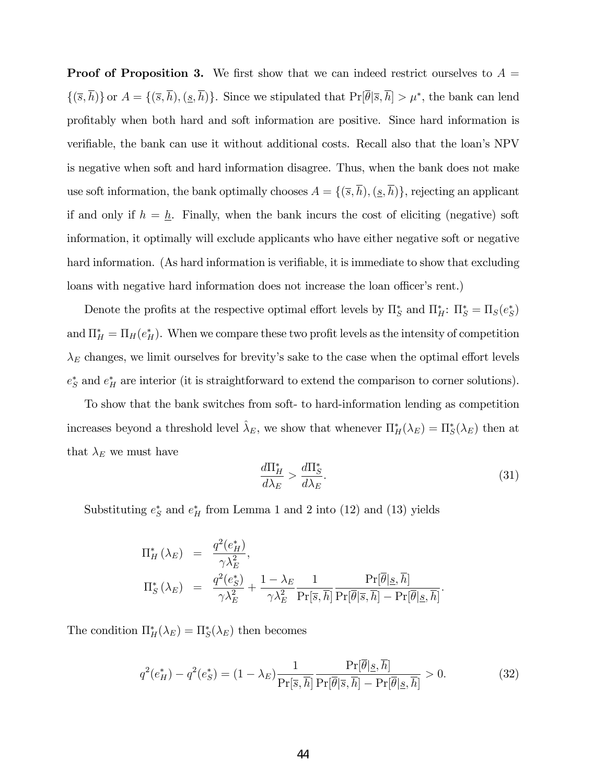**Proof of Proposition 3.** We first show that we can indeed restrict ourselves to  $A =$  $\{(\overline{s}, h)\}\$  or  $A = \{(\overline{s}, h), (\underline{s}, h)\}\$ . Since we stipulated that  $\Pr[\theta|\overline{s}, h] > \mu^*$ , the bank can lend proÖtably when both hard and soft information are positive. Since hard information is verifiable, the bank can use it without additional costs. Recall also that the loan's NPV is negative when soft and hard information disagree. Thus, when the bank does not make use soft information, the bank optimally chooses  $A = \{(\overline{s}, \overline{h}), (\underline{s}, \overline{h})\}$ , rejecting an applicant if and only if  $h = \underline{h}$ . Finally, when the bank incurs the cost of eliciting (negative) soft information, it optimally will exclude applicants who have either negative soft or negative hard information. (As hard information is verifiable, it is immediate to show that excluding loans with negative hard information does not increase the loan officer's rent.)

Denote the profits at the respective optimal effort levels by  $\Pi_S^*$  and  $\Pi_H^*: \Pi_S^* = \Pi_S(e_S^*)$ and  $\Pi_H^* = \Pi_H(e_H^*)$ . When we compare these two profit levels as the intensity of competition  $\lambda_E$  changes, we limit ourselves for brevity's sake to the case when the optimal effort levels  $e^*_S$  and  $e^*_H$  are interior (it is straightforward to extend the comparison to corner solutions).

To show that the bank switches from soft- to hard-information lending as competition increases beyond a threshold level  $\hat{\lambda}_E$ , we show that whenever  $\Pi_H^*(\lambda_E) = \Pi_S^*(\lambda_E)$  then at that  $\lambda_E$  we must have

$$
\frac{d\Pi_H^*}{d\lambda_E} > \frac{d\Pi_S^*}{d\lambda_E}.\tag{31}
$$

Substituting  $e^*_S$  and  $e^*_H$  from Lemma 1 and 2 into (12) and (13) yields

$$
\Pi_H^* (\lambda_E) = \frac{q^2(e_H^*)}{\gamma \lambda_E^2},
$$
  
\n
$$
\Pi_S^* (\lambda_E) = \frac{q^2(e_S^*)}{\gamma \lambda_E^2} + \frac{1 - \lambda_E}{\gamma \lambda_E^2} \frac{1}{\Pr[\overline{s}, \overline{h}]} \frac{\Pr[\overline{\theta} | \underline{s}, \overline{h}]}{\Pr[\overline{\theta} | \overline{s}, \overline{h}]} - \Pr[\overline{\theta} | \underline{s}, \overline{h}]}.
$$

The condition  $\Pi_H^*(\lambda_E) = \Pi_S^*(\lambda_E)$  then becomes

$$
q^{2}(e_{H}^{*}) - q^{2}(e_{S}^{*}) = (1 - \lambda_{E}) \frac{1}{\Pr[\overline{s}, \overline{h}]} \frac{\Pr[\overline{\theta} | \underline{s}, \overline{h}]}{\Pr[\overline{\theta} | \overline{s}, \overline{h}]} - \Pr[\overline{\theta} | \underline{s}, \overline{h}]} > 0. \tag{32}
$$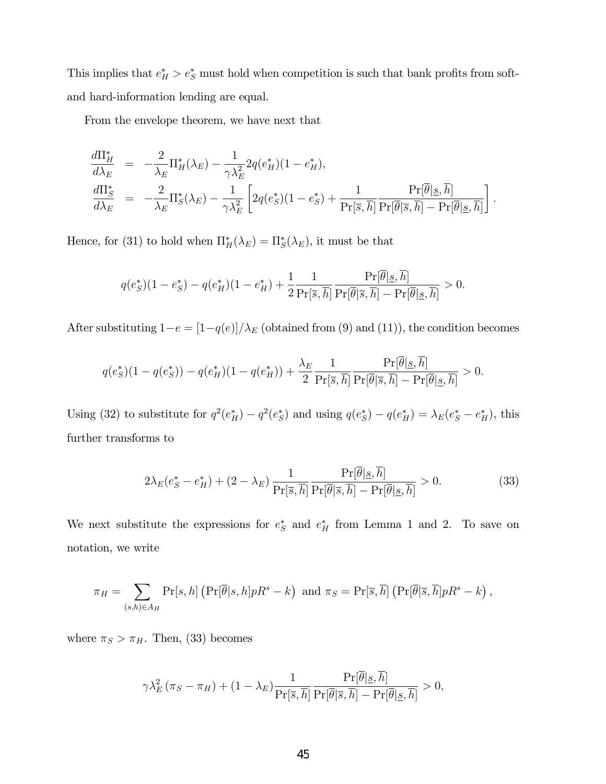This implies that  $e_H^* > e_S^*$  must hold when competition is such that bank profits from softand hard-information lending are equal.

From the envelope theorem, we have next that

$$
\frac{d\Pi_H^*}{d\lambda_E} = -\frac{2}{\lambda_E} \Pi_H^*(\lambda_E) - \frac{1}{\gamma \lambda_E^2} 2q(e_H^*)(1 - e_H^*),
$$
\n
$$
\frac{d\Pi_S^*}{d\lambda_E} = -\frac{2}{\lambda_E} \Pi_S^*(\lambda_E) - \frac{1}{\gamma \lambda_E^2} \left[ 2q(e_S^*)(1 - e_S^*) + \frac{1}{\Pr[\overline{s}, \overline{h}]} \frac{\Pr[\overline{\theta} | \underline{s}, \overline{h}]}{\Pr[\overline{\theta} | \overline{s}, \overline{h}]} - \Pr[\overline{\theta} | \underline{s}, \overline{h}]\right].
$$

Hence, for (31) to hold when  $\Pi_H^*(\lambda_E) = \Pi_S^*(\lambda_E)$ , it must be that

$$
q(e^*_S)(1-e^*_S) - q(e^*_H)(1-e^*_H) + \frac{1}{2} \frac{1}{\Pr[\overline{s},\overline{h}]} \frac{\Pr[\overline{\theta}|\underline{s},\overline{h}]}{\Pr[\overline{\theta}|\overline{s},\overline{h}]} - \Pr[\overline{\theta}|\underline{s},\overline{h}]} > 0.
$$

After substituting  $1-e = [1-q(e)]/\lambda_E$  (obtained from (9) and (11)), the condition becomes

$$
q(e^*_S)(1-q(e^*_S)) - q(e^*_H)(1-q(e^*_H)) + \frac{\lambda_E}{2} \frac{1}{\Pr[\overline{s},\overline{h}]} \frac{\Pr[\overline{\theta}|\underline{s},\overline{h}]}{\Pr[\overline{\theta}|\overline{s},\overline{h}]} - \Pr[\overline{\theta}|\underline{s},\overline{h}]} > 0.
$$

Using (32) to substitute for  $q^2(e_H^*) - q^2(e_S^*)$  and using  $q(e_S^*) - q(e_H^*) = \lambda_E(e_S^* - e_H^*)$ , this further transforms to

$$
2\lambda_E(e^*_S - e^*_H) + (2 - \lambda_E) \frac{1}{\Pr[\overline{s}, \overline{h}]} \frac{\Pr[\overline{\theta} | \underline{s}, \overline{h}]}{\Pr[\overline{\theta} | \overline{s}, \overline{h}]} - \Pr[\overline{\theta} | \underline{s}, \overline{h}]} > 0. \tag{33}
$$

We next substitute the expressions for  $e^*_S$  and  $e^*_H$  from Lemma 1 and 2. To save on notation, we write

$$
\pi_H = \sum_{(s,h)\in A_H} \Pr[s,h] \left( \Pr[\overline{\theta}|s,h] p R^s - k \right) \text{ and } \pi_S = \Pr[\overline{s},\overline{h}] \left( \Pr[\overline{\theta}|\overline{s},\overline{h}] p R^s - k \right),
$$

where  $\pi_S > \pi_H$ . Then, (33) becomes

$$
\gamma \lambda_E^2 (\pi_S - \pi_H) + (1 - \lambda_E) \frac{1}{\Pr[\overline{s}, \overline{h}]} \frac{\Pr[\overline{\theta} | \underline{s}, \overline{h}]}{\Pr[\overline{\theta} | \overline{s}, \overline{h}]} - \Pr[\overline{\theta} | \underline{s}, \overline{h}]} > 0,
$$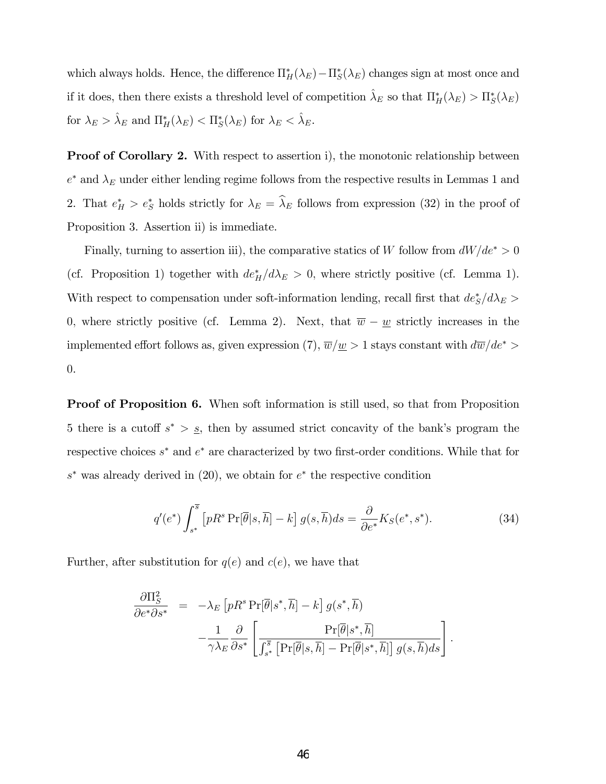which always holds. Hence, the difference  $\Pi_H^*(\lambda_E) - \Pi_S^*(\lambda_E)$  changes sign at most once and if it does, then there exists a threshold level of competition  $\hat{\lambda}_E$  so that  $\Pi_H^*(\lambda_E) > \Pi_S^*(\lambda_E)$ for  $\lambda_E > \hat{\lambda}_E$  and  $\Pi_H^*(\lambda_E) < \Pi_S^*(\lambda_E)$  for  $\lambda_E < \hat{\lambda}_E$ .

**Proof of Corollary 2.** With respect to assertion i), the monotonic relationship between  $e^*$  and  $\lambda_E$  under either lending regime follows from the respective results in Lemmas 1 and 2. That  $e_H^* > e_S^*$  holds strictly for  $\lambda_E = \lambda_E$  follows from expression (32) in the proof of Proposition 3. Assertion ii) is immediate.

Finally, turning to assertion iii), the comparative statics of W follow from  $dW/de^* > 0$ (cf. Proposition 1) together with  $de_H^*/d\lambda_E > 0$ , where strictly positive (cf. Lemma 1). With respect to compensation under soft-information lending, recall first that  $de^*_S/d\lambda_E >$ 0, where strictly positive (cf. Lemma 2). Next, that  $\overline{w} - \underline{w}$  strictly increases in the implemented effort follows as, given expression (7),  $\overline{w}/\underline{w} > 1$  stays constant with  $d\overline{w}/de^* >$ 0.

Proof of Proposition 6. When soft information is still used, so that from Proposition 5 there is a cutoff  $s^* > s$ , then by assumed strict concavity of the bank's program the respective choices  $s^*$  and  $e^*$  are characterized by two first-order conditions. While that for  $s^*$  was already derived in (20), we obtain for  $e^*$  the respective condition

$$
q'(e^*) \int_{s^*}^{\overline{s}} \left[ pR^s \Pr[\overline{\theta}|s,\overline{h}] - k \right] g(s,\overline{h}) ds = \frac{\partial}{\partial e^*} K_S(e^*,s^*). \tag{34}
$$

Further, after substitution for  $q(e)$  and  $c(e)$ , we have that

$$
\frac{\partial \Pi_S^2}{\partial e^* \partial s^*} = -\lambda_E \left[ pR^s \Pr[\overline{\theta}|s^*, \overline{h}] - k \right] g(s^*, \overline{h}) \n- \frac{1}{\gamma \lambda_E} \frac{\partial}{\partial s^*} \left[ \frac{\Pr[\overline{\theta}|s^*, \overline{h}]}{\int_{s^*}^{\overline{s}} [\Pr[\overline{\theta}|s, \overline{h}] - \Pr[\overline{\theta}|s^*, \overline{h}]] g(s, \overline{h}) ds} \right].
$$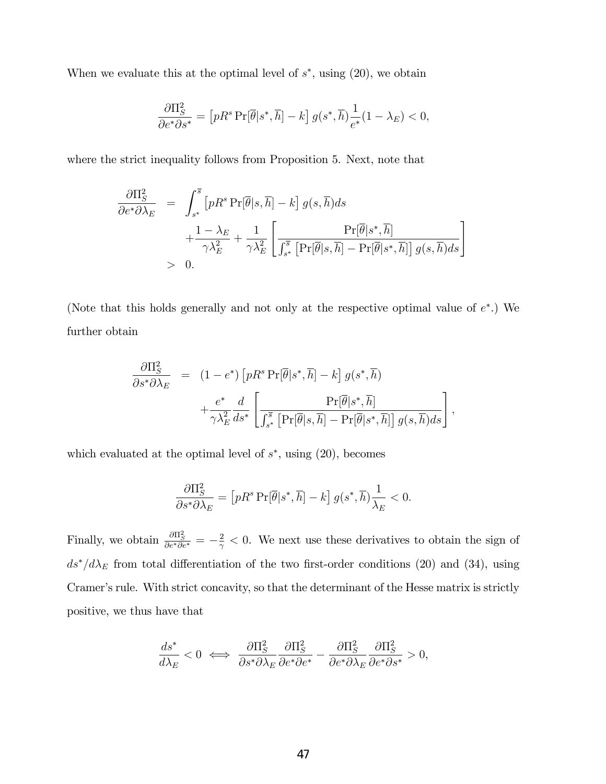When we evaluate this at the optimal level of  $s^*$ , using  $(20)$ , we obtain

$$
\frac{\partial \Pi_S^2}{\partial e^* \partial s^*} = \left[ pR^s \Pr[\overline{\theta}|s^*, \overline{h}] - k \right] g(s^*, \overline{h}) \frac{1}{e^*} (1 - \lambda_E) < 0,
$$

where the strict inequality follows from Proposition 5. Next, note that

$$
\frac{\partial \Pi_S^2}{\partial e^* \partial \lambda_E} = \int_{s^*}^{\overline{s}} \left[ p R^s \Pr[\overline{\theta} | s, \overline{h}] - k \right] g(s, \overline{h}) ds \n+ \frac{1 - \lambda_E}{\gamma \lambda_E^2} + \frac{1}{\gamma \lambda_E^2} \left[ \frac{\Pr[\overline{\theta} | s^*, \overline{h}]}{\int_{s^*}^{\overline{s}} \left[ \Pr[\overline{\theta} | s, \overline{h}] - \Pr[\overline{\theta} | s^*, \overline{h}] \right] g(s, \overline{h}) ds \right] \n> 0.
$$

(Note that this holds generally and not only at the respective optimal value of  $e^*$ .) We further obtain

$$
\frac{\partial \Pi_S^2}{\partial s^* \partial \lambda_E} = (1 - e^*) \left[ pR^s \Pr[\overline{\theta} | s^*, \overline{h}] - k \right] g(s^*, \overline{h}) \n+ \frac{e^*}{\gamma \lambda_E^2} \frac{d}{ds^*} \left[ \frac{\Pr[\overline{\theta} | s^*, \overline{h}]}{\int_{s^*}^{\overline{s}} \left[ \Pr[\overline{\theta} | s, \overline{h}] - \Pr[\overline{\theta} | s^*, \overline{h}] \right] g(s, \overline{h}) ds} \right],
$$

which evaluated at the optimal level of  $s^*$ , using  $(20)$ , becomes

$$
\frac{\partial \Pi_S^2}{\partial s^* \partial \lambda_E} = \left[ pR^s \Pr[\overline{\theta}|s^*, \overline{h}] - k \right] g(s^*, \overline{h}) \frac{1}{\lambda_E} < 0.
$$

Finally, we obtain  $\frac{\partial \Pi_S^2}{\partial e^* \partial e^*} = -\frac{2}{\gamma}$  $\frac{2}{\gamma}$  < 0. We next use these derivatives to obtain the sign of  $ds^*/d\lambda_E$  from total differentiation of the two first-order conditions (20) and (34), using Cramer's rule. With strict concavity, so that the determinant of the Hesse matrix is strictly positive, we thus have that

$$
\frac{ds^*}{d\lambda_E} < 0 \iff \frac{\partial \Pi_S^2}{\partial s^* \partial \lambda_E} \frac{\partial \Pi_S^2}{\partial e^* \partial e^*} - \frac{\partial \Pi_S^2}{\partial e^* \partial \lambda_E} \frac{\partial \Pi_S^2}{\partial e^* \partial s^*} > 0,
$$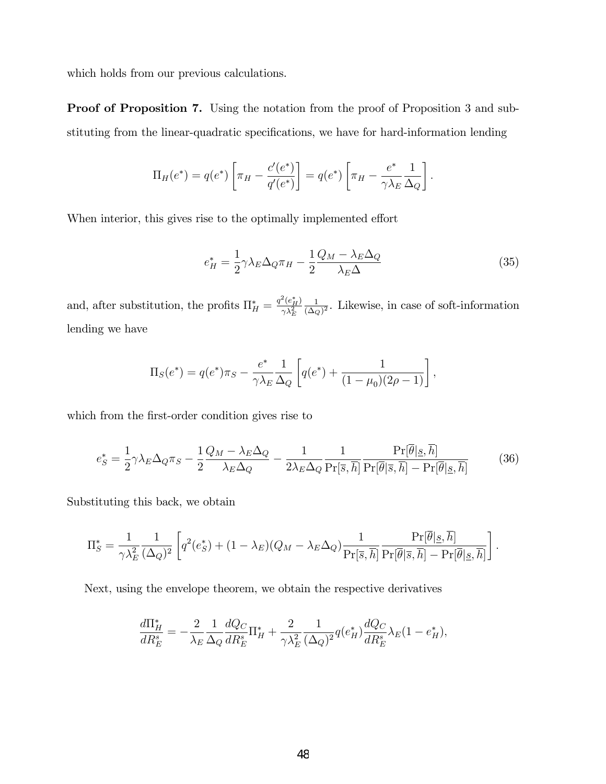which holds from our previous calculations.

Proof of Proposition 7. Using the notation from the proof of Proposition 3 and substituting from the linear-quadratic specifications, we have for hard-information lending

$$
\Pi_H(e^*) = q(e^*) \left[ \pi_H - \frac{c'(e^*)}{q'(e^*)} \right] = q(e^*) \left[ \pi_H - \frac{e^*}{\gamma \lambda_E} \frac{1}{\Delta_Q} \right].
$$

When interior, this gives rise to the optimally implemented effort

$$
e_H^* = \frac{1}{2} \gamma \lambda_E \Delta_Q \pi_H - \frac{1}{2} \frac{Q_M - \lambda_E \Delta_Q}{\lambda_E \Delta} \tag{35}
$$

and, after substitution, the profits  $\Pi_H^* = \frac{q^2(e_H^*)}{\gamma \lambda_E^2}$  $\gamma \lambda_E^2$ 1  $\frac{1}{(\Delta_Q)^2}$ . Likewise, in case of soft-information lending we have

$$
\Pi_S(e^*) = q(e^*)\pi_S - \frac{e^*}{\gamma \lambda_E} \frac{1}{\Delta_Q} \left[ q(e^*) + \frac{1}{(1 - \mu_0)(2\rho - 1)} \right],
$$

which from the first-order condition gives rise to

$$
e_S^* = \frac{1}{2} \gamma \lambda_E \Delta_Q \pi_S - \frac{1}{2} \frac{Q_M - \lambda_E \Delta_Q}{\lambda_E \Delta_Q} - \frac{1}{2 \lambda_E \Delta_Q} \frac{1}{\Pr[\overline{s}, \overline{h}]} \frac{\Pr[\overline{\theta} | \underline{s}, \overline{h}]}{\Pr[\overline{\theta} | \overline{s}, \overline{h}]} - \Pr[\overline{\theta} | \underline{s}, \overline{h}]} \tag{36}
$$

Substituting this back, we obtain

$$
\Pi_S^* = \frac{1}{\gamma \lambda_E^2} \frac{1}{(\Delta_Q)^2} \left[ q^2(e_S^*) + (1 - \lambda_E)(Q_M - \lambda_E \Delta_Q) \frac{1}{\Pr[\overline{s}, \overline{h}]} \frac{\Pr[\overline{\theta} | \underline{s}, \overline{h}]}{\Pr[\overline{\theta} | \overline{s}, \overline{h}]} - \Pr[\overline{\theta} | \underline{s}, \overline{h}]\right].
$$

Next, using the envelope theorem, we obtain the respective derivatives

$$
\frac{d\Pi_H^*}{dR_E^s} = -\frac{2}{\lambda_E} \frac{1}{\Delta_Q} \frac{dQ_C}{dR_E^s} \Pi_H^* + \frac{2}{\gamma \lambda_E^2} \frac{1}{(\Delta_Q)^2} q(e_H^*) \frac{dQ_C}{dR_E^s} \lambda_E (1 - e_H^*),
$$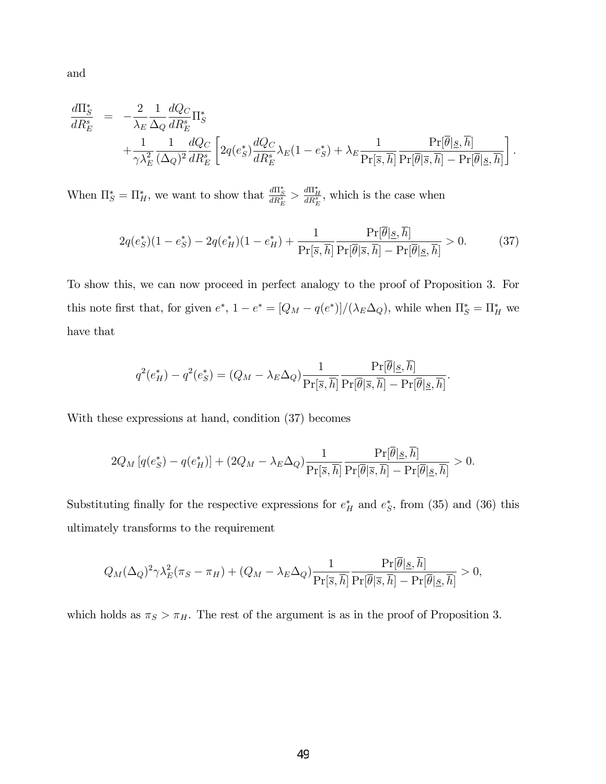and

$$
\frac{d\Pi_S^*}{dR_E^s} = -\frac{2}{\lambda_E} \frac{1}{\Delta_Q} \frac{dQ_C}{dR_E^s} \Pi_S^*
$$
\n
$$
+ \frac{1}{\gamma \lambda_E^2} \frac{1}{(\Delta_Q)^2} \frac{dQ_C}{dR_E^s} \left[ 2q(e_S^*) \frac{dQ_C}{dR_E^s} \lambda_E (1 - e_S^*) + \lambda_E \frac{1}{\Pr[\overline{s}, \overline{h}]} \frac{\Pr[\overline{\theta} | \underline{s}, \overline{h}]}{\Pr[\overline{\theta} | \overline{s}, \overline{h}]} - \Pr[\overline{\theta} | \underline{s}, \overline{h}]\right].
$$

When  $\Pi_S^* = \Pi_H^*$ , we want to show that  $\frac{d\Pi_S^*}{dR_E^*} > \frac{d\Pi_H^*}{dR_E^*}$ , which is the case when

$$
2q(e^*_{S})(1-e^*_{S}) - 2q(e^*_{H})(1-e^*_{H}) + \frac{1}{\Pr[\overline{s},\overline{h}]} \frac{\Pr[\overline{\theta}|\underline{s},\overline{h}]}{\Pr[\overline{\theta}|\overline{s},\overline{h}]} - \Pr[\overline{\theta}|\underline{s},\overline{h}]} > 0. \tag{37}
$$

To show this, we can now proceed in perfect analogy to the proof of Proposition 3. For this note first that, for given  $e^*$ ,  $1 - e^* = [Q_M - q(e^*)]/(\lambda_E \Delta_Q)$ , while when  $\Pi_S^* = \Pi_H^*$  we have that

$$
q^{2}(e_H^*) - q^{2}(e_S^*) = (Q_M - \lambda_E \Delta_Q) \frac{1}{\Pr[\overline{s}, \overline{h}]} \frac{\Pr[\overline{\theta} | \underline{s}, \overline{h}]}{\Pr[\overline{\theta} | \overline{s}, \overline{h}]} - \Pr[\overline{\theta} | \underline{s}, \overline{h}]}.
$$

With these expressions at hand, condition (37) becomes

$$
2Q_M\left[q(e^*_S) - q(e^*_H)\right] + (2Q_M - \lambda_E \Delta_Q) \frac{1}{\Pr[\overline{s}, \overline{h}]} \frac{\Pr[\overline{\theta} | \underline{s}, \overline{h}]}{\Pr[\overline{\theta} | \overline{s}, \overline{h}]} - \Pr[\overline{\theta} | \underline{s}, \overline{h}]} > 0.
$$

Substituting finally for the respective expressions for  $e_H^*$  and  $e_S^*$ , from (35) and (36) this ultimately transforms to the requirement

$$
Q_M(\Delta_Q)^2 \gamma \lambda_E^2 (\pi_S - \pi_H) + (Q_M - \lambda_E \Delta_Q) \frac{1}{\Pr[\overline{s}, \overline{h}]} \frac{\Pr[\overline{\theta} | \underline{s}, \overline{h}]}{\Pr[\overline{\theta} | \overline{s}, \overline{h}]} - \Pr[\overline{\theta} | \underline{s}, \overline{h}]} > 0,
$$

which holds as  $\pi_S > \pi_H$ . The rest of the argument is as in the proof of Proposition 3.